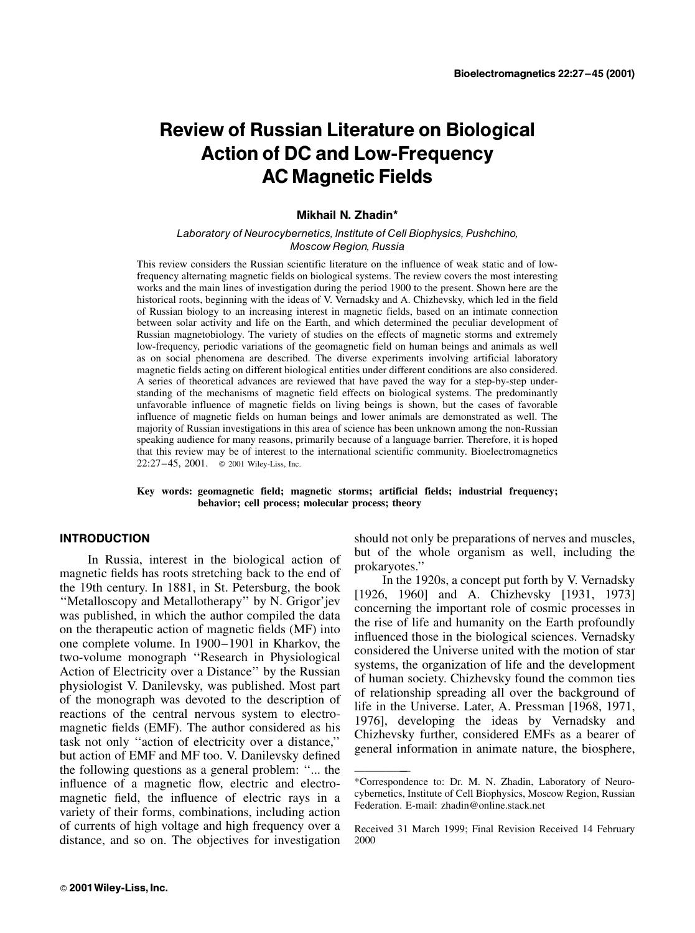# Review of Russian Literature on Biological Action of DC and Low-Frequency AC Magnetic Fields

## Mikhail N. Zhadin\*

#### Laboratory of Neurocybernetics, Institute of Cell Biophysics, Pushchino, Moscow Region, Russia

This review considers the Russian scientific literature on the influence of weak static and of lowfrequency alternating magnetic fields on biological systems. The review covers the most interesting works and the main lines of investigation during the period 1900 to the present. Shown here are the historical roots, beginning with the ideas of V. Vernadsky and A. Chizhevsky, which led in the field of Russian biology to an increasing interest in magnetic fields, based on an intimate connection between solar activity and life on the Earth, and which determined the peculiar development of Russian magnetobiology. The variety of studies on the effects of magnetic storms and extremely low-frequency, periodic variations of the geomagnetic field on human beings and animals as well as on social phenomena are described. The diverse experiments involving artificial laboratory magnetic fields acting on different biological entities under different conditions are also considered. A series of theoretical advances are reviewed that have paved the way for a step-by-step understanding of the mechanisms of magnetic field effects on biological systems. The predominantly unfavorable influence of magnetic fields on living beings is shown, but the cases of favorable influence of magnetic fields on human beings and lower animals are demonstrated as well. The majority of Russian investigations in this area of science has been unknown among the non-Russian speaking audience for many reasons, primarily because of a language barrier. Therefore, it is hoped that this review may be of interest to the international scientific community. Bioelectromagnetics  $22:27-45$ ,  $2001$ .  $\odot$  2001 Wiley-Liss, Inc.

#### Key words: geomagnetic field; magnetic storms; artificial fields; industrial frequency; behavior; cell process; molecular process; theory

ÐÐÐÐÐÐ

#### INTRODUCTION

In Russia, interest in the biological action of magnetic fields has roots stretching back to the end of the 19th century. In 1881, in St. Petersburg, the book ``Metalloscopy and Metallotherapy'' by N. Grigor'jev was published, in which the author compiled the data on the therapeutic action of magnetic fields (MF) into one complete volume. In 1900–1901 in Kharkov, the two-volume monograph "Research in Physiological Action of Electricity over a Distance'' by the Russian physiologist V. Danilevsky, was published. Most part of the monograph was devoted to the description of reactions of the central nervous system to electromagnetic fields (EMF). The author considered as his task not only "action of electricity over a distance," but action of EMF and MF too. V. Danilevsky defined the following questions as a general problem: "... the influence of a magnetic flow, electric and electromagnetic field, the influence of electric rays in a variety of their forms, combinations, including action of currents of high voltage and high frequency over a distance, and so on. The objectives for investigation

should not only be preparations of nerves and muscles, but of the whole organism as well, including the prokaryotes.''

In the 1920s, a concept put forth by V. Vernadsky [1926, 1960] and A. Chizhevsky [1931, 1973] concerning the important role of cosmic processes in the rise of life and humanity on the Earth profoundly influenced those in the biological sciences. Vernadsky considered the Universe united with the motion of star systems, the organization of life and the development of human society. Chizhevsky found the common ties of relationship spreading all over the background of life in the Universe. Later, A. Pressman [1968, 1971, 1976], developing the ideas by Vernadsky and Chizhevsky further, considered EMFs as a bearer of general information in animate nature, the biosphere,

<sup>\*</sup>Correspondence to: Dr. M. N. Zhadin, Laboratory of Neurocybernetics, Institute of Cell Biophysics, Moscow Region, Russian Federation. E-mail: zhadin@online.stack.net

Received 31 March 1999; Final Revision Received 14 February 2000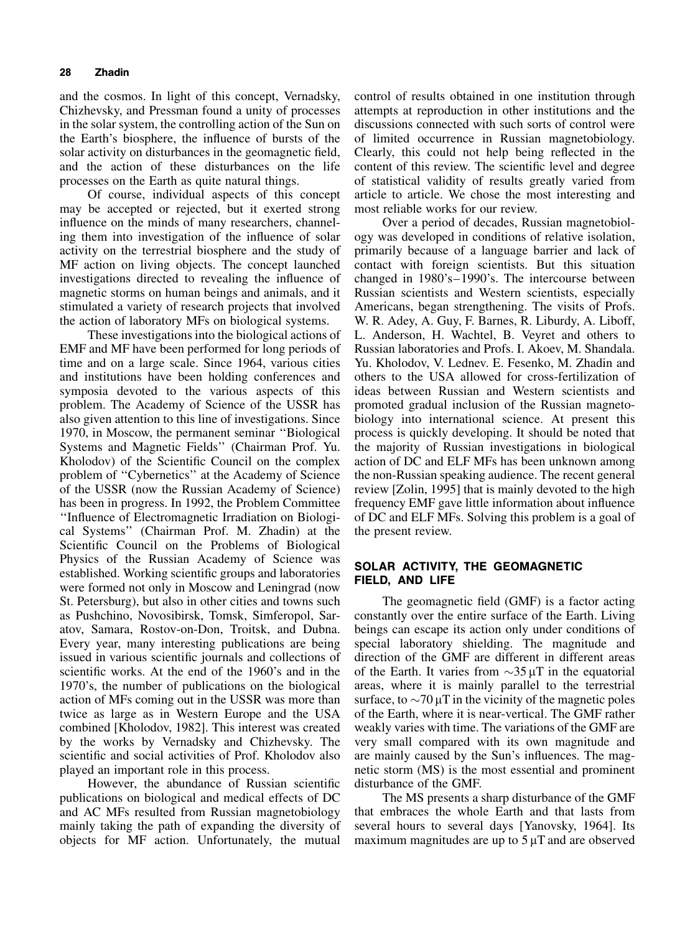and the cosmos. In light of this concept, Vernadsky, Chizhevsky, and Pressman found a unity of processes in the solar system, the controlling action of the Sun on the Earth's biosphere, the influence of bursts of the solar activity on disturbances in the geomagnetic field, and the action of these disturbances on the life processes on the Earth as quite natural things.

Of course, individual aspects of this concept may be accepted or rejected, but it exerted strong influence on the minds of many researchers, channeling them into investigation of the influence of solar activity on the terrestrial biosphere and the study of MF action on living objects. The concept launched investigations directed to revealing the influence of magnetic storms on human beings and animals, and it stimulated a variety of research projects that involved the action of laboratory MFs on biological systems.

These investigations into the biological actions of EMF and MF have been performed for long periods of time and on a large scale. Since 1964, various cities and institutions have been holding conferences and symposia devoted to the various aspects of this problem. The Academy of Science of the USSR has also given attention to this line of investigations. Since 1970, in Moscow, the permanent seminar "Biological Systems and Magnetic Fields'' (Chairman Prof. Yu. Kholodov) of the Scientific Council on the complex problem of "Cybernetics" at the Academy of Science of the USSR (now the Russian Academy of Science) has been in progress. In 1992, the Problem Committee ``In¯uence of Electromagnetic Irradiation on Biological Systems'' (Chairman Prof. M. Zhadin) at the Scientific Council on the Problems of Biological Physics of the Russian Academy of Science was established. Working scientific groups and laboratories were formed not only in Moscow and Leningrad (now St. Petersburg), but also in other cities and towns such as Pushchino, Novosibirsk, Tomsk, Simferopol, Saratov, Samara, Rostov-on-Don, Troitsk, and Dubna. Every year, many interesting publications are being issued in various scientific journals and collections of scientific works. At the end of the 1960's and in the 1970's, the number of publications on the biological action of MFs coming out in the USSR was more than twice as large as in Western Europe and the USA combined [Kholodov, 1982]. This interest was created by the works by Vernadsky and Chizhevsky. The scientific and social activities of Prof. Kholodov also played an important role in this process.

However, the abundance of Russian scientific publications on biological and medical effects of DC and AC MFs resulted from Russian magnetobiology mainly taking the path of expanding the diversity of objects for MF action. Unfortunately, the mutual

control of results obtained in one institution through attempts at reproduction in other institutions and the discussions connected with such sorts of control were of limited occurrence in Russian magnetobiology. Clearly, this could not help being reflected in the content of this review. The scientific level and degree of statistical validity of results greatly varied from article to article. We chose the most interesting and most reliable works for our review.

Over a period of decades, Russian magnetobiology was developed in conditions of relative isolation, primarily because of a language barrier and lack of contact with foreign scientists. But this situation changed in  $1980's-1990's$ . The intercourse between Russian scientists and Western scientists, especially Americans, began strengthening. The visits of Profs. W. R. Adey, A. Guy, F. Barnes, R. Liburdy, A. Liboff, L. Anderson, H. Wachtel, B. Veyret and others to Russian laboratories and Profs. I. Akoev, M. Shandala. Yu. Kholodov, V. Lednev. E. Fesenko, M. Zhadin and others to the USA allowed for cross-fertilization of ideas between Russian and Western scientists and promoted gradual inclusion of the Russian magnetobiology into international science. At present this process is quickly developing. It should be noted that the majority of Russian investigations in biological action of DC and ELF MFs has been unknown among the non-Russian speaking audience. The recent general review [Zolin, 1995] that is mainly devoted to the high frequency EMF gave little information about influence of DC and ELF MFs. Solving this problem is a goal of the present review.

## SOLAR ACTIVITY, THE GEOMAGNETIC FIELD, AND LIFE

The geomagnetic field (GMF) is a factor acting constantly over the entire surface of the Earth. Living beings can escape its action only under conditions of special laboratory shielding. The magnitude and direction of the GMF are different in different areas of the Earth. It varies from  $\sim$ 35  $\mu$ T in the equatorial areas, where it is mainly parallel to the terrestrial surface, to  $\sim$ 70  $\mu$ T in the vicinity of the magnetic poles of the Earth, where it is near-vertical. The GMF rather weakly varies with time. The variations of the GMF are very small compared with its own magnitude and are mainly caused by the Sun's influences. The magnetic storm (MS) is the most essential and prominent disturbance of the GMF.

The MS presents a sharp disturbance of the GMF that embraces the whole Earth and that lasts from several hours to several days [Yanovsky, 1964]. Its maximum magnitudes are up to  $5 \mu$ T and are observed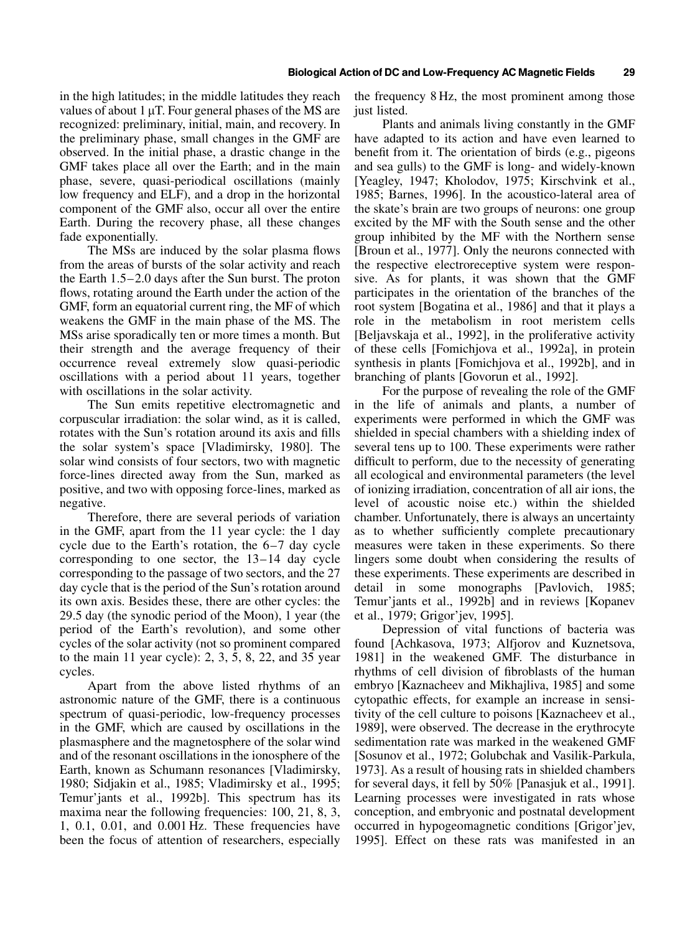in the high latitudes; in the middle latitudes they reach values of about  $1 \mu$ T. Four general phases of the MS are recognized: preliminary, initial, main, and recovery. In the preliminary phase, small changes in the GMF are observed. In the initial phase, a drastic change in the GMF takes place all over the Earth; and in the main phase, severe, quasi-periodical oscillations (mainly low frequency and ELF), and a drop in the horizontal component of the GMF also, occur all over the entire Earth. During the recovery phase, all these changes fade exponentially.

The MSs are induced by the solar plasma flows from the areas of bursts of the solar activity and reach the Earth  $1.5-2.0$  days after the Sun burst. The proton flows, rotating around the Earth under the action of the GMF, form an equatorial current ring, the MF of which weakens the GMF in the main phase of the MS. The MSs arise sporadically ten or more times a month. But their strength and the average frequency of their occurrence reveal extremely slow quasi-periodic oscillations with a period about 11 years, together with oscillations in the solar activity.

The Sun emits repetitive electromagnetic and corpuscular irradiation: the solar wind, as it is called, rotates with the Sun's rotation around its axis and fills the solar system's space [Vladimirsky, 1980]. The solar wind consists of four sectors, two with magnetic force-lines directed away from the Sun, marked as positive, and two with opposing force-lines, marked as negative.

Therefore, there are several periods of variation in the GMF, apart from the 11 year cycle: the 1 day cycle due to the Earth's rotation, the  $6-7$  day cycle corresponding to one sector, the  $13-14$  day cycle corresponding to the passage of two sectors, and the 27 day cycle that is the period of the Sun's rotation around its own axis. Besides these, there are other cycles: the 29.5 day (the synodic period of the Moon), 1 year (the period of the Earth's revolution), and some other cycles of the solar activity (not so prominent compared to the main 11 year cycle): 2, 3, 5, 8, 22, and 35 year cycles.

Apart from the above listed rhythms of an astronomic nature of the GMF, there is a continuous spectrum of quasi-periodic, low-frequency processes in the GMF, which are caused by oscillations in the plasmasphere and the magnetosphere of the solar wind and of the resonant oscillations in the ionosphere of the Earth, known as Schumann resonances [Vladimirsky, 1980; Sidjakin et al., 1985; Vladimirsky et al., 1995; Temur'jants et al., 1992b]. This spectrum has its maxima near the following frequencies: 100, 21, 8, 3, 1, 0.1, 0.01, and 0.001 Hz. These frequencies have been the focus of attention of researchers, especially

the frequency 8 Hz, the most prominent among those just listed.

Plants and animals living constantly in the GMF have adapted to its action and have even learned to benefit from it. The orientation of birds (e.g., pigeons and sea gulls) to the GMF is long- and widely-known [Yeagley, 1947; Kholodov, 1975; Kirschvink et al., 1985; Barnes, 1996]. In the acoustico-lateral area of the skate's brain are two groups of neurons: one group excited by the MF with the South sense and the other group inhibited by the MF with the Northern sense [Broun et al., 1977]. Only the neurons connected with the respective electroreceptive system were responsive. As for plants, it was shown that the GMF participates in the orientation of the branches of the root system [Bogatina et al., 1986] and that it plays a role in the metabolism in root meristem cells [Beljavskaja et al., 1992], in the proliferative activity of these cells [Fomichjova et al., 1992a], in protein synthesis in plants [Fomichjova et al., 1992b], and in branching of plants [Govorun et al., 1992].

For the purpose of revealing the role of the GMF in the life of animals and plants, a number of experiments were performed in which the GMF was shielded in special chambers with a shielding index of several tens up to 100. These experiments were rather difficult to perform, due to the necessity of generating all ecological and environmental parameters (the level of ionizing irradiation, concentration of all air ions, the level of acoustic noise etc.) within the shielded chamber. Unfortunately, there is always an uncertainty as to whether sufficiently complete precautionary measures were taken in these experiments. So there lingers some doubt when considering the results of these experiments. These experiments are described in detail in some monographs [Pavlovich, 1985; Temur'jants et al., 1992b] and in reviews [Kopanev et al., 1979; Grigor'jev, 1995].

Depression of vital functions of bacteria was found [Achkasova, 1973; Alfjorov and Kuznetsova, 1981] in the weakened GMF. The disturbance in rhythms of cell division of fibroblasts of the human embryo [Kaznacheev and Mikhajliva, 1985] and some cytopathic effects, for example an increase in sensitivity of the cell culture to poisons [Kaznacheev et al., 1989], were observed. The decrease in the erythrocyte sedimentation rate was marked in the weakened GMF [Sosunov et al., 1972; Golubchak and Vasilik-Parkula, 1973]. As a result of housing rats in shielded chambers for several days, it fell by 50% [Panasjuk et al., 1991]. Learning processes were investigated in rats whose conception, and embryonic and postnatal development occurred in hypogeomagnetic conditions [Grigor'jev, 1995]. Effect on these rats was manifested in an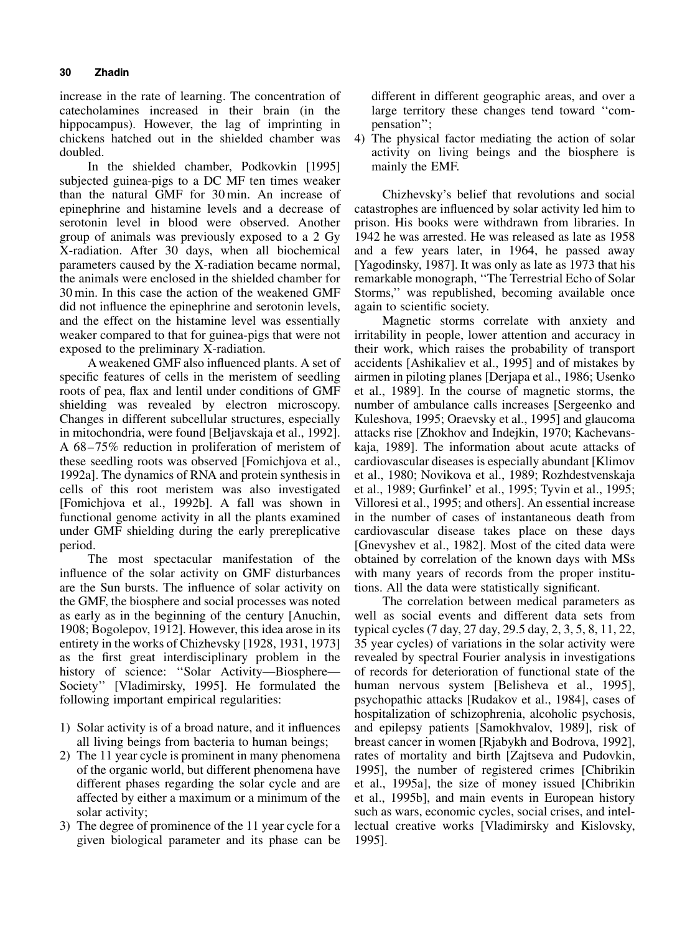increase in the rate of learning. The concentration of catecholamines increased in their brain (in the hippocampus). However, the lag of imprinting in chickens hatched out in the shielded chamber was doubled.

In the shielded chamber, Podkovkin [1995] subjected guinea-pigs to a DC MF ten times weaker than the natural GMF for 30 min. An increase of epinephrine and histamine levels and a decrease of serotonin level in blood were observed. Another group of animals was previously exposed to a 2 Gy X-radiation. After 30 days, when all biochemical parameters caused by the X-radiation became normal, the animals were enclosed in the shielded chamber for 30 min. In this case the action of the weakened GMF did not influence the epinephrine and serotonin levels, and the effect on the histamine level was essentially weaker compared to that for guinea-pigs that were not exposed to the preliminary X-radiation.

A weakened GMF also influenced plants. A set of specific features of cells in the meristem of seedling roots of pea, flax and lentil under conditions of GMF shielding was revealed by electron microscopy. Changes in different subcellular structures, especially in mitochondria, were found [Beljavskaja et al., 1992]. A 68–75% reduction in proliferation of meristem of these seedling roots was observed [Fomichjova et al., 1992a]. The dynamics of RNA and protein synthesis in cells of this root meristem was also investigated [Fomichjova et al., 1992b]. A fall was shown in functional genome activity in all the plants examined under GMF shielding during the early prereplicative period.

The most spectacular manifestation of the influence of the solar activity on GMF disturbances are the Sun bursts. The influence of solar activity on the GMF, the biosphere and social processes was noted as early as in the beginning of the century [Anuchin, 1908; Bogolepov, 1912]. However, this idea arose in its entirety in the works of Chizhevsky [1928, 1931, 1973] as the first great interdisciplinary problem in the history of science: "Solar Activity-Biosphere-Society'' [Vladimirsky, 1995]. He formulated the following important empirical regularities:

- 1) Solar activity is of a broad nature, and it influences all living beings from bacteria to human beings;
- 2) The 11 year cycle is prominent in many phenomena of the organic world, but different phenomena have different phases regarding the solar cycle and are affected by either a maximum or a minimum of the solar activity;
- 3) The degree of prominence of the 11 year cycle for a given biological parameter and its phase can be

different in different geographic areas, and over a large territory these changes tend toward "compensation'';

4) The physical factor mediating the action of solar activity on living beings and the biosphere is mainly the EMF.

Chizhevsky's belief that revolutions and social catastrophes are influenced by solar activity led him to prison. His books were withdrawn from libraries. In 1942 he was arrested. He was released as late as 1958 and a few years later, in 1964, he passed away [Yagodinsky, 1987]. It was only as late as 1973 that his remarkable monograph, "The Terrestrial Echo of Solar Storms,'' was republished, becoming available once again to scientific society.

Magnetic storms correlate with anxiety and irritability in people, lower attention and accuracy in their work, which raises the probability of transport accidents [Ashikaliev et al., 1995] and of mistakes by airmen in piloting planes [Derjapa et al., 1986; Usenko et al., 1989]. In the course of magnetic storms, the number of ambulance calls increases [Sergeenko and Kuleshova, 1995; Oraevsky et al., 1995] and glaucoma attacks rise [Zhokhov and Indejkin, 1970; Kachevanskaja, 1989]. The information about acute attacks of cardiovascular diseases is especially abundant [Klimov et al., 1980; Novikova et al., 1989; Rozhdestvenskaja et al., 1989; Gurfinkel' et al., 1995; Tyvin et al., 1995; Villoresi et al., 1995; and others]. An essential increase in the number of cases of instantaneous death from cardiovascular disease takes place on these days [Gnevyshev et al., 1982]. Most of the cited data were obtained by correlation of the known days with MSs with many years of records from the proper institutions. All the data were statistically significant.

The correlation between medical parameters as well as social events and different data sets from typical cycles (7 day, 27 day, 29.5 day, 2, 3, 5, 8, 11, 22, 35 year cycles) of variations in the solar activity were revealed by spectral Fourier analysis in investigations of records for deterioration of functional state of the human nervous system [Belisheva et al., 1995], psychopathic attacks [Rudakov et al., 1984], cases of hospitalization of schizophrenia, alcoholic psychosis, and epilepsy patients [Samokhvalov, 1989], risk of breast cancer in women [Rjabykh and Bodrova, 1992], rates of mortality and birth [Zajtseva and Pudovkin, 1995], the number of registered crimes [Chibrikin et al., 1995a], the size of money issued [Chibrikin et al., 1995b], and main events in European history such as wars, economic cycles, social crises, and intellectual creative works [Vladimirsky and Kislovsky, 1995].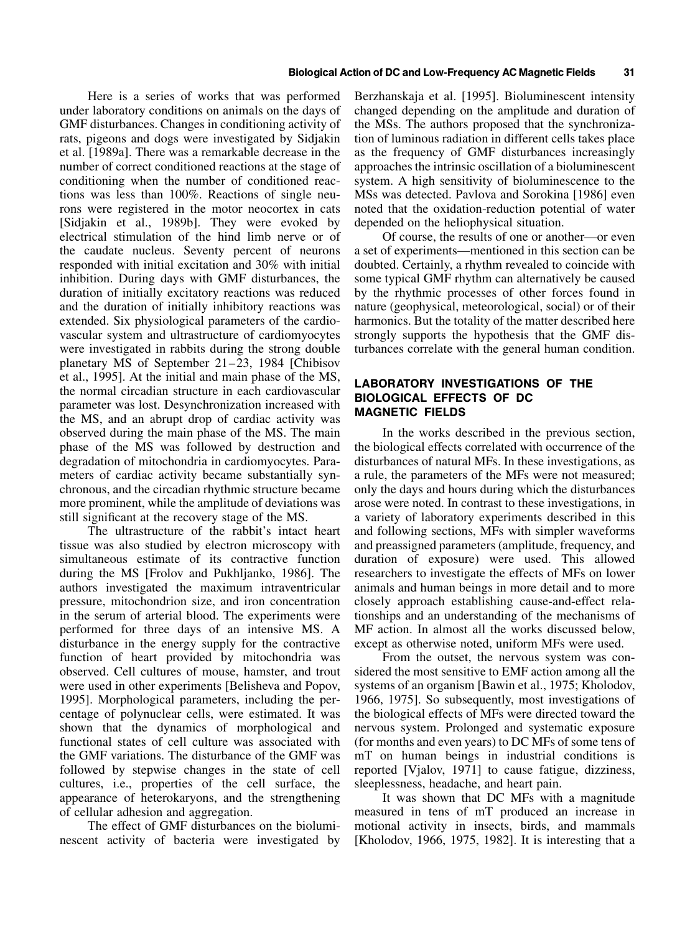Here is a series of works that was performed under laboratory conditions on animals on the days of GMF disturbances. Changes in conditioning activity of rats, pigeons and dogs were investigated by Sidjakin et al. [1989a]. There was a remarkable decrease in the number of correct conditioned reactions at the stage of conditioning when the number of conditioned reactions was less than 100%. Reactions of single neurons were registered in the motor neocortex in cats [Sidjakin et al., 1989b]. They were evoked by electrical stimulation of the hind limb nerve or of the caudate nucleus. Seventy percent of neurons responded with initial excitation and 30% with initial inhibition. During days with GMF disturbances, the duration of initially excitatory reactions was reduced and the duration of initially inhibitory reactions was extended. Six physiological parameters of the cardiovascular system and ultrastructure of cardiomyocytes were investigated in rabbits during the strong double planetary MS of September 21 $-23$ , 1984 [Chibisov] et al., 1995]. At the initial and main phase of the MS, the normal circadian structure in each cardiovascular parameter was lost. Desynchronization increased with the MS, and an abrupt drop of cardiac activity was observed during the main phase of the MS. The main phase of the MS was followed by destruction and degradation of mitochondria in cardiomyocytes. Parameters of cardiac activity became substantially synchronous, and the circadian rhythmic structure became more prominent, while the amplitude of deviations was still significant at the recovery stage of the MS.

The ultrastructure of the rabbit's intact heart tissue was also studied by electron microscopy with simultaneous estimate of its contractive function during the MS [Frolov and Pukhljanko, 1986]. The authors investigated the maximum intraventricular pressure, mitochondrion size, and iron concentration in the serum of arterial blood. The experiments were performed for three days of an intensive MS. A disturbance in the energy supply for the contractive function of heart provided by mitochondria was observed. Cell cultures of mouse, hamster, and trout were used in other experiments [Belisheva and Popov, 1995]. Morphological parameters, including the percentage of polynuclear cells, were estimated. It was shown that the dynamics of morphological and functional states of cell culture was associated with the GMF variations. The disturbance of the GMF was followed by stepwise changes in the state of cell cultures, i.e., properties of the cell surface, the appearance of heterokaryons, and the strengthening of cellular adhesion and aggregation.

The effect of GMF disturbances on the bioluminescent activity of bacteria were investigated by Berzhanskaja et al. [1995]. Bioluminescent intensity changed depending on the amplitude and duration of the MSs. The authors proposed that the synchronization of luminous radiation in different cells takes place as the frequency of GMF disturbances increasingly approaches the intrinsic oscillation of a bioluminescent system. A high sensitivity of bioluminescence to the MSs was detected. Pavlova and Sorokina [1986] even noted that the oxidation-reduction potential of water depended on the heliophysical situation.

Of course, the results of one or another—or even a set of experiments—mentioned in this section can be doubted. Certainly, a rhythm revealed to coincide with some typical GMF rhythm can alternatively be caused by the rhythmic processes of other forces found in nature (geophysical, meteorological, social) or of their harmonics. But the totality of the matter described here strongly supports the hypothesis that the GMF disturbances correlate with the general human condition.

## LABORATORY INVESTIGATIONS OF THE BIOLOGICAL EFFECTS OF DC MAGNETIC FIELDS

In the works described in the previous section, the biological effects correlated with occurrence of the disturbances of natural MFs. In these investigations, as a rule, the parameters of the MFs were not measured; only the days and hours during which the disturbances arose were noted. In contrast to these investigations, in a variety of laboratory experiments described in this and following sections, MFs with simpler waveforms and preassigned parameters (amplitude, frequency, and duration of exposure) were used. This allowed researchers to investigate the effects of MFs on lower animals and human beings in more detail and to more closely approach establishing cause-and-effect relationships and an understanding of the mechanisms of MF action. In almost all the works discussed below, except as otherwise noted, uniform MFs were used.

From the outset, the nervous system was considered the most sensitive to EMF action among all the systems of an organism [Bawin et al., 1975; Kholodov, 1966, 1975]. So subsequently, most investigations of the biological effects of MFs were directed toward the nervous system. Prolonged and systematic exposure (for months and even years) to DC MFs of some tens of mT on human beings in industrial conditions is reported [Vjalov, 1971] to cause fatigue, dizziness, sleeplessness, headache, and heart pain.

It was shown that DC MFs with a magnitude measured in tens of mT produced an increase in motional activity in insects, birds, and mammals [Kholodov, 1966, 1975, 1982]. It is interesting that a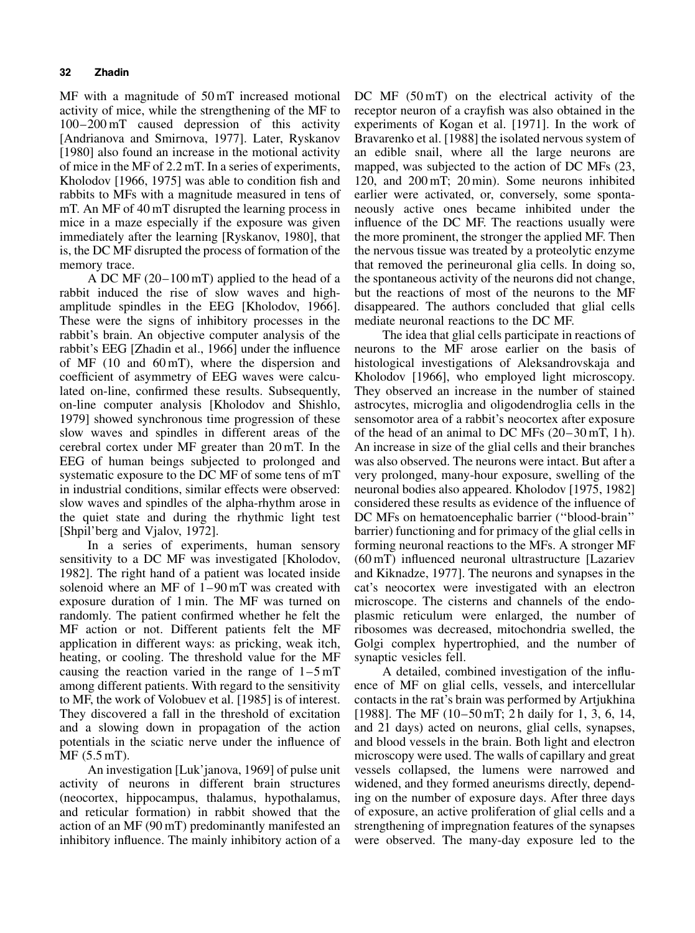MF with a magnitude of 50 mT increased motional activity of mice, while the strengthening of the MF to 100±200 mT caused depression of this activity [Andrianova and Smirnova, 1977]. Later, Ryskanov [1980] also found an increase in the motional activity of mice in the MF of 2.2 mT. In a series of experiments, Kholodov [1966, 1975] was able to condition fish and rabbits to MFs with a magnitude measured in tens of mT. An MF of 40 mT disrupted the learning process in mice in a maze especially if the exposure was given immediately after the learning [Ryskanov, 1980], that is, the DC MF disrupted the process of formation of the memory trace.

A DC MF  $(20-100 \,\text{mT})$  applied to the head of a rabbit induced the rise of slow waves and highamplitude spindles in the EEG [Kholodov, 1966]. These were the signs of inhibitory processes in the rabbit's brain. An objective computer analysis of the rabbit's EEG [Zhadin et al., 1966] under the influence of MF (10 and  $60 \text{ mT}$ ), where the dispersion and coefficient of asymmetry of EEG waves were calculated on-line, confirmed these results. Subsequently, on-line computer analysis [Kholodov and Shishlo, 1979] showed synchronous time progression of these slow waves and spindles in different areas of the cerebral cortex under MF greater than 20 mT. In the EEG of human beings subjected to prolonged and systematic exposure to the DC MF of some tens of mT in industrial conditions, similar effects were observed: slow waves and spindles of the alpha-rhythm arose in the quiet state and during the rhythmic light test [Shpil'berg and Vjalov, 1972].

In a series of experiments, human sensory sensitivity to a DC MF was investigated [Kholodov, 1982]. The right hand of a patient was located inside solenoid where an MF of  $1-90$  mT was created with exposure duration of 1 min. The MF was turned on randomly. The patient confirmed whether he felt the MF action or not. Different patients felt the MF application in different ways: as pricking, weak itch, heating, or cooling. The threshold value for the MF causing the reaction varied in the range of  $1-5$  mT among different patients. With regard to the sensitivity to MF, the work of Volobuev et al. [1985] is of interest. They discovered a fall in the threshold of excitation and a slowing down in propagation of the action potentials in the sciatic nerve under the influence of MF (5.5 mT).

An investigation [Luk'janova, 1969] of pulse unit activity of neurons in different brain structures (neocortex, hippocampus, thalamus, hypothalamus, and reticular formation) in rabbit showed that the action of an MF (90 mT) predominantly manifested an inhibitory influence. The mainly inhibitory action of a

DC MF (50 mT) on the electrical activity of the receptor neuron of a crayfish was also obtained in the experiments of Kogan et al. [1971]. In the work of Bravarenko et al. [1988] the isolated nervous system of an edible snail, where all the large neurons are mapped, was subjected to the action of DC MFs (23, 120, and 200 mT; 20 min). Some neurons inhibited earlier were activated, or, conversely, some spontaneously active ones became inhibited under the influence of the DC MF. The reactions usually were the more prominent, the stronger the applied MF. Then the nervous tissue was treated by a proteolytic enzyme that removed the perineuronal glia cells. In doing so, the spontaneous activity of the neurons did not change, but the reactions of most of the neurons to the MF disappeared. The authors concluded that glial cells mediate neuronal reactions to the DC MF.

The idea that glial cells participate in reactions of neurons to the MF arose earlier on the basis of histological investigations of Aleksandrovskaja and Kholodov [1966], who employed light microscopy. They observed an increase in the number of stained astrocytes, microglia and oligodendroglia cells in the sensomotor area of a rabbit's neocortex after exposure of the head of an animal to DC MFs  $(20-30 \,\text{mT}, 1 \,\text{h})$ . An increase in size of the glial cells and their branches was also observed. The neurons were intact. But after a very prolonged, many-hour exposure, swelling of the neuronal bodies also appeared. Kholodov [1975, 1982] considered these results as evidence of the influence of DC MFs on hematoencephalic barrier ("blood-brain" barrier) functioning and for primacy of the glial cells in forming neuronal reactions to the MFs. A stronger MF  $(60 \,\mathrm{mT})$  influenced neuronal ultrastructure [Lazariev] and Kiknadze, 1977]. The neurons and synapses in the cat's neocortex were investigated with an electron microscope. The cisterns and channels of the endoplasmic reticulum were enlarged, the number of ribosomes was decreased, mitochondria swelled, the Golgi complex hypertrophied, and the number of synaptic vesicles fell.

A detailed, combined investigation of the influence of MF on glial cells, vessels, and intercellular contacts in the rat's brain was performed by Artjukhina [1988]. The MF  $(10-50$  mT; 2 h daily for 1, 3, 6, 14, and 21 days) acted on neurons, glial cells, synapses, and blood vessels in the brain. Both light and electron microscopy were used. The walls of capillary and great vessels collapsed, the lumens were narrowed and widened, and they formed aneurisms directly, depending on the number of exposure days. After three days of exposure, an active proliferation of glial cells and a strengthening of impregnation features of the synapses were observed. The many-day exposure led to the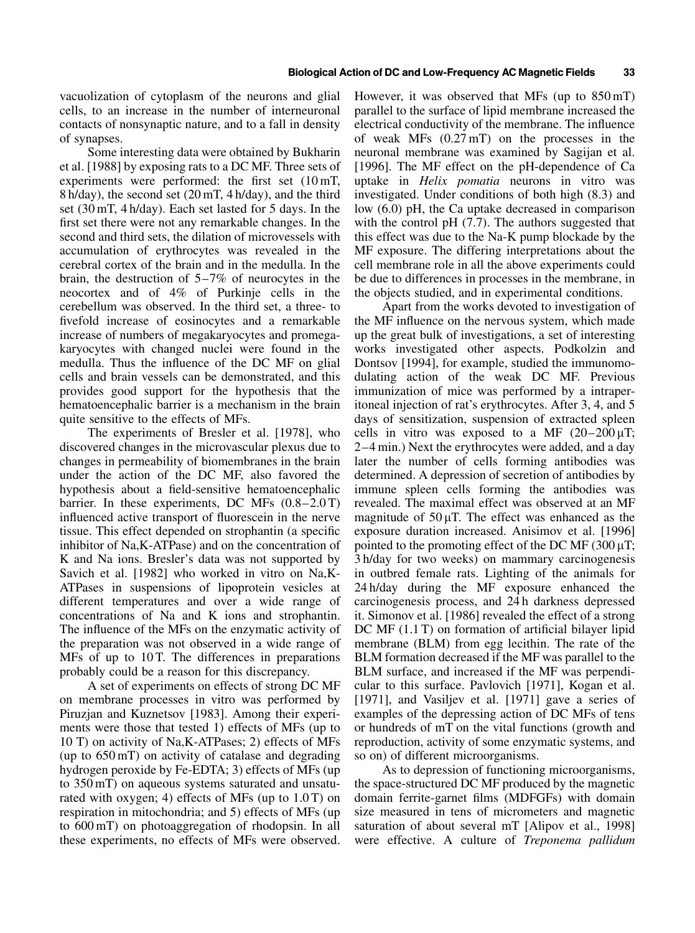vacuolization of cytoplasm of the neurons and glial cells, to an increase in the number of interneuronal contacts of nonsynaptic nature, and to a fall in density of synapses.

Some interesting data were obtained by Bukharin et al. [1988] by exposing rats to a DC MF. Three sets of experiments were performed: the first set  $(10 \text{ mT})$ , 8 h/day), the second set (20 mT, 4 h/day), and the third set (30 mT, 4 h/day). Each set lasted for 5 days. In the first set there were not any remarkable changes. In the second and third sets, the dilation of microvessels with accumulation of erythrocytes was revealed in the cerebral cortex of the brain and in the medulla. In the brain, the destruction of  $5-7\%$  of neurocytes in the neocortex and of 4% of Purkinje cells in the cerebellum was observed. In the third set, a three- to fivefold increase of eosinocytes and a remarkable increase of numbers of megakaryocytes and promegakaryocytes with changed nuclei were found in the medulla. Thus the influence of the DC MF on glial cells and brain vessels can be demonstrated, and this provides good support for the hypothesis that the hematoencephalic barrier is a mechanism in the brain quite sensitive to the effects of MFs.

The experiments of Bresler et al. [1978], who discovered changes in the microvascular plexus due to changes in permeability of biomembranes in the brain under the action of the DC MF, also favored the hypothesis about a field-sensitive hematoencephalic barrier. In these experiments, DC MFs  $(0.8-2.0 \text{ T})$ influenced active transport of fluorescein in the nerve tissue. This effect depended on strophantin (a specific inhibitor of Na,K-ATPase) and on the concentration of K and Na ions. Bresler's data was not supported by Savich et al. [1982] who worked in vitro on Na,K-ATPases in suspensions of lipoprotein vesicles at different temperatures and over a wide range of concentrations of Na and K ions and strophantin. The influence of the MFs on the enzymatic activity of the preparation was not observed in a wide range of MFs of up to 10 T. The differences in preparations probably could be a reason for this discrepancy.

A set of experiments on effects of strong DC MF on membrane processes in vitro was performed by Piruzjan and Kuznetsov [1983]. Among their experiments were those that tested 1) effects of MFs (up to 10 T) on activity of Na,K-ATPases; 2) effects of MFs (up to 650 mT) on activity of catalase and degrading hydrogen peroxide by Fe-EDTA; 3) effects of MFs (up to 350 mT) on aqueous systems saturated and unsaturated with oxygen; 4) effects of MFs (up to 1.0 T) on respiration in mitochondria; and 5) effects of MFs (up to 600 mT) on photoaggregation of rhodopsin. In all these experiments, no effects of MFs were observed.

However, it was observed that MFs (up to 850 mT) parallel to the surface of lipid membrane increased the electrical conductivity of the membrane. The influence of weak MFs (0.27 mT) on the processes in the neuronal membrane was examined by Sagijan et al. [1996]. The MF effect on the pH-dependence of Ca uptake in *Helix pomatia* neurons in vitro was investigated. Under conditions of both high (8.3) and low (6.0) pH, the Ca uptake decreased in comparison with the control pH (7.7). The authors suggested that this effect was due to the Na-K pump blockade by the MF exposure. The differing interpretations about the cell membrane role in all the above experiments could be due to differences in processes in the membrane, in the objects studied, and in experimental conditions.

Apart from the works devoted to investigation of the MF influence on the nervous system, which made up the great bulk of investigations, a set of interesting works investigated other aspects. Podkolzin and Dontsov [1994], for example, studied the immunomodulating action of the weak DC MF. Previous immunization of mice was performed by a intraperitoneal injection of rat's erythrocytes. After 3, 4, and 5 days of sensitization, suspension of extracted spleen cells in vitro was exposed to a MF  $(20-200 \,\mu\text{T})$ ; 2–4 min.) Next the erythrocytes were added, and a day later the number of cells forming antibodies was determined. A depression of secretion of antibodies by immune spleen cells forming the antibodies was revealed. The maximal effect was observed at an MF magnitude of  $50 \mu T$ . The effect was enhanced as the exposure duration increased. Anisimov et al. [1996] pointed to the promoting effect of the DC MF (300  $\mu$ T; 3 h/day for two weeks) on mammary carcinogenesis in outbred female rats. Lighting of the animals for 24 h/day during the MF exposure enhanced the carcinogenesis process, and 24 h darkness depressed it. Simonov et al. [1986] revealed the effect of a strong  $DC$  MF  $(1.1 T)$  on formation of artificial bilayer lipid membrane (BLM) from egg lecithin. The rate of the BLM formation decreased if the MF was parallel to the BLM surface, and increased if the MF was perpendicular to this surface. Pavlovich [1971], Kogan et al. [1971], and Vasiljev et al. [1971] gave a series of examples of the depressing action of DC MFs of tens or hundreds of mT on the vital functions (growth and reproduction, activity of some enzymatic systems, and so on) of different microorganisms.

As to depression of functioning microorganisms, the space-structured DC MF produced by the magnetic domain ferrite-garnet films (MDFGFs) with domain size measured in tens of micrometers and magnetic saturation of about several mT [Alipov et al., 1998] were effective. A culture of Treponema pallidum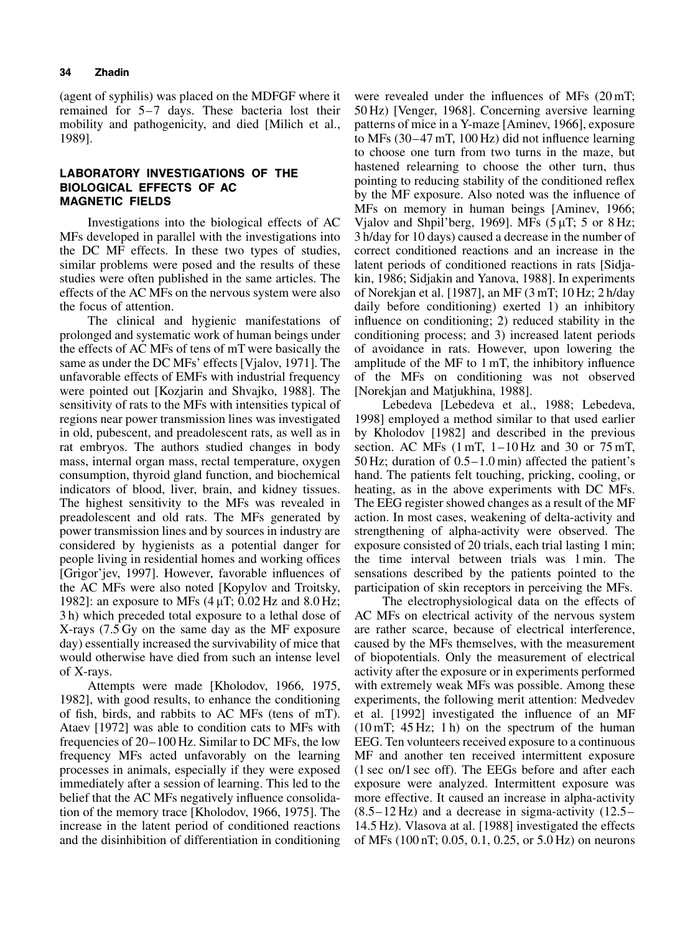(agent of syphilis) was placed on the MDFGF where it remained for 5–7 days. These bacteria lost their mobility and pathogenicity, and died [Milich et al., 1989].

# LABORATORY INVESTIGATIONS OF THE BIOLOGICAL EFFECTS OF AC MAGNETIC FIELDS

Investigations into the biological effects of AC MFs developed in parallel with the investigations into the DC MF effects. In these two types of studies, similar problems were posed and the results of these studies were often published in the same articles. The effects of the AC MFs on the nervous system were also the focus of attention.

The clinical and hygienic manifestations of prolonged and systematic work of human beings under the effects of AC MFs of tens of mT were basically the same as under the DC MFs' effects [Vjalov, 1971]. The unfavorable effects of EMFs with industrial frequency were pointed out [Kozjarin and Shvajko, 1988]. The sensitivity of rats to the MFs with intensities typical of regions near power transmission lines was investigated in old, pubescent, and preadolescent rats, as well as in rat embryos. The authors studied changes in body mass, internal organ mass, rectal temperature, oxygen consumption, thyroid gland function, and biochemical indicators of blood, liver, brain, and kidney tissues. The highest sensitivity to the MFs was revealed in preadolescent and old rats. The MFs generated by power transmission lines and by sources in industry are considered by hygienists as a potential danger for people living in residential homes and working offices [Grigor'jev, 1997]. However, favorable influences of the AC MFs were also noted [Kopylov and Troitsky, 1982]: an exposure to MFs  $(4 \mu T; 0.02 \text{ Hz}$  and  $8.0 \text{ Hz}$ ; 3 h) which preceded total exposure to a lethal dose of X-rays (7.5 Gy on the same day as the MF exposure day) essentially increased the survivability of mice that would otherwise have died from such an intense level of X-rays.

Attempts were made [Kholodov, 1966, 1975, 1982], with good results, to enhance the conditioning of fish, birds, and rabbits to AC MFs (tens of mT). Ataev [1972] was able to condition cats to MFs with frequencies of  $20-100$  Hz. Similar to DC MFs, the low frequency MFs acted unfavorably on the learning processes in animals, especially if they were exposed immediately after a session of learning. This led to the belief that the AC MFs negatively influence consolidation of the memory trace [Kholodov, 1966, 1975]. The increase in the latent period of conditioned reactions and the disinhibition of differentiation in conditioning

were revealed under the influences of MFs  $(20 \text{ mT})$ ; 50 Hz) [Venger, 1968]. Concerning aversive learning patterns of mice in a Y-maze [Aminev, 1966], exposure to MFs  $(30-47 \,\mathrm{mT}, 100 \,\mathrm{Hz})$  did not influence learning to choose one turn from two turns in the maze, but hastened relearning to choose the other turn, thus pointing to reducing stability of the conditioned reflex by the MF exposure. Also noted was the influence of MFs on memory in human beings [Aminev, 1966; Vjalov and Shpil'berg, 1969]. MFs  $(5 \mu T; 5 \text{ or } 8 \text{ Hz};$ 3 h/day for 10 days) caused a decrease in the number of correct conditioned reactions and an increase in the latent periods of conditioned reactions in rats [Sidjakin, 1986; Sidjakin and Yanova, 1988]. In experiments of Norekjan et al. [1987], an MF (3 mT; 10 Hz; 2 h/day daily before conditioning) exerted 1) an inhibitory influence on conditioning;  $2$ ) reduced stability in the conditioning process; and 3) increased latent periods of avoidance in rats. However, upon lowering the amplitude of the MF to  $1 \text{ mT}$ , the inhibitory influence of the MFs on conditioning was not observed [Norekjan and Matjukhina, 1988].

Lebedeva [Lebedeva et al., 1988; Lebedeva, 1998] employed a method similar to that used earlier by Kholodov [1982] and described in the previous section. AC MFs  $(1 \text{ mT}, 1-10 \text{ Hz}$  and 30 or 75 mT, 50 Hz; duration of  $0.5-1.0$  min) affected the patient's hand. The patients felt touching, pricking, cooling, or heating, as in the above experiments with DC MFs. The EEG register showed changes as a result of the MF action. In most cases, weakening of delta-activity and strengthening of alpha-activity were observed. The exposure consisted of 20 trials, each trial lasting 1 min; the time interval between trials was 1 min. The sensations described by the patients pointed to the participation of skin receptors in perceiving the MFs.

The electrophysiological data on the effects of AC MFs on electrical activity of the nervous system are rather scarce, because of electrical interference, caused by the MFs themselves, with the measurement of biopotentials. Only the measurement of electrical activity after the exposure or in experiments performed with extremely weak MFs was possible. Among these experiments, the following merit attention: Medvedev et al.  $[1992]$  investigated the influence of an MF  $(10 \,\mathrm{mT}; 45 \,\mathrm{Hz}; 1 \,\mathrm{h})$  on the spectrum of the human EEG. Ten volunteers received exposure to a continuous MF and another ten received intermittent exposure (1 sec on/1 sec off). The EEGs before and after each exposure were analyzed. Intermittent exposure was more effective. It caused an increase in alpha-activity  $(8.5-12 \text{ Hz})$  and a decrease in sigma-activity  $(12.5-12 \text{ Hz})$ 14.5 Hz). Vlasova at al. [1988] investigated the effects of MFs (100 nT; 0.05, 0.1, 0.25, or 5.0 Hz) on neurons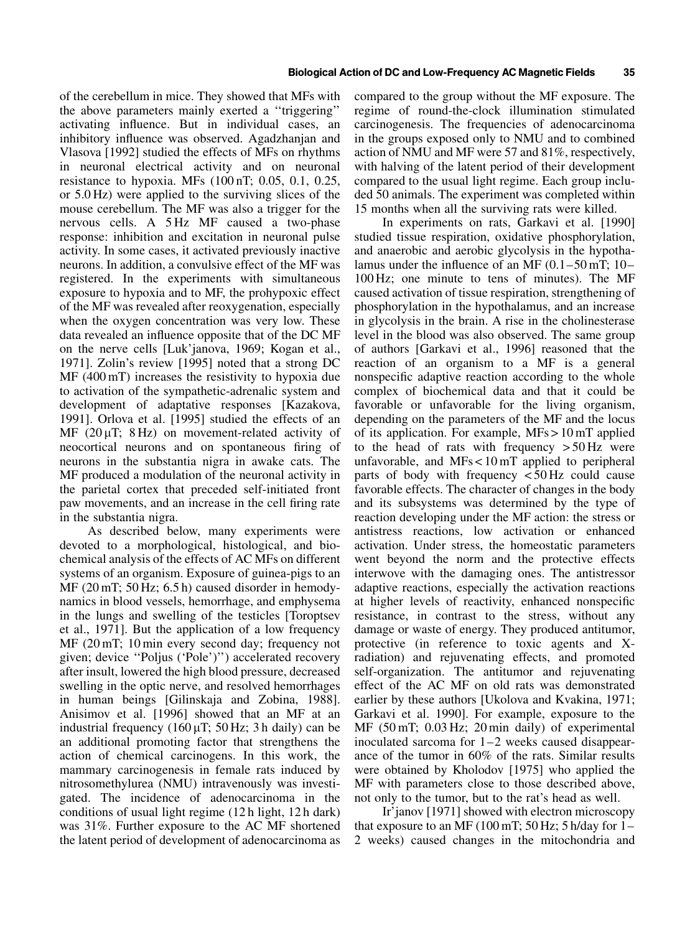of the cerebellum in mice. They showed that MFs with the above parameters mainly exerted a "triggering" activating influence. But in individual cases, an inhibitory influence was observed. Agadzhanjan and Vlasova [1992] studied the effects of MFs on rhythms in neuronal electrical activity and on neuronal resistance to hypoxia. MFs (100 nT; 0.05, 0.1, 0.25, or 5.0 Hz) were applied to the surviving slices of the mouse cerebellum. The MF was also a trigger for the nervous cells. A 5 Hz MF caused a two-phase response: inhibition and excitation in neuronal pulse activity. In some cases, it activated previously inactive neurons. In addition, a convulsive effect of the MF was registered. In the experiments with simultaneous exposure to hypoxia and to MF, the prohypoxic effect of the MF was revealed after reoxygenation, especially when the oxygen concentration was very low. These data revealed an influence opposite that of the DC MF on the nerve cells [Luk'janova, 1969; Kogan et al., 1971]. Zolin's review [1995] noted that a strong DC MF (400 mT) increases the resistivity to hypoxia due to activation of the sympathetic-adrenalic system and development of adaptative responses [Kazakova, 1991]. Orlova et al. [1995] studied the effects of an MF ( $20 \mu$ T;  $8$  Hz) on movement-related activity of neocortical neurons and on spontaneous firing of neurons in the substantia nigra in awake cats. The MF produced a modulation of the neuronal activity in the parietal cortex that preceded self-initiated front paw movements, and an increase in the cell firing rate in the substantia nigra.

As described below, many experiments were devoted to a morphological, histological, and biochemical analysis of the effects of AC MFs on different systems of an organism. Exposure of guinea-pigs to an MF (20 mT; 50 Hz; 6.5 h) caused disorder in hemodynamics in blood vessels, hemorrhage, and emphysema in the lungs and swelling of the testicles [Toroptsev et al., 1971]. But the application of a low frequency MF (20 mT; 10 min every second day; frequency not given; device "Poljus ('Pole')") accelerated recovery after insult, lowered the high blood pressure, decreased swelling in the optic nerve, and resolved hemorrhages in human beings [Gilinskaja and Zobina, 1988]. Anisimov et al. [1996] showed that an MF at an industrial frequency  $(160 \mu T; 50 Hz; 3 h$  daily) can be an additional promoting factor that strengthens the action of chemical carcinogens. In this work, the mammary carcinogenesis in female rats induced by nitrosomethylurea (NMU) intravenously was investigated. The incidence of adenocarcinoma in the conditions of usual light regime (12 h light, 12 h dark) was 31%. Further exposure to the AC MF shortened the latent period of development of adenocarcinoma as

compared to the group without the MF exposure. The regime of round-the-clock illumination stimulated carcinogenesis. The frequencies of adenocarcinoma in the groups exposed only to NMU and to combined action of NMU and MF were 57 and 81%, respectively, with halving of the latent period of their development compared to the usual light regime. Each group included 50 animals. The experiment was completed within 15 months when all the surviving rats were killed.

In experiments on rats, Garkavi et al. [1990] studied tissue respiration, oxidative phosphorylation, and anaerobic and aerobic glycolysis in the hypothalamus under the influence of an MF  $(0.1–50 \,\mathrm{mT}; 10–1)$ 100 Hz; one minute to tens of minutes). The MF caused activation of tissue respiration, strengthening of phosphorylation in the hypothalamus, and an increase in glycolysis in the brain. A rise in the cholinesterase level in the blood was also observed. The same group of authors [Garkavi et al., 1996] reasoned that the reaction of an organism to a MF is a general nonspecific adaptive reaction according to the whole complex of biochemical data and that it could be favorable or unfavorable for the living organism, depending on the parameters of the MF and the locus of its application. For example, MFs > 10 mT applied to the head of rats with frequency > 50 Hz were unfavorable, and MFs < 10 mT applied to peripheral parts of body with frequency < 50 Hz could cause favorable effects. The character of changes in the body and its subsystems was determined by the type of reaction developing under the MF action: the stress or antistress reactions, low activation or enhanced activation. Under stress, the homeostatic parameters went beyond the norm and the protective effects interwove with the damaging ones. The antistressor adaptive reactions, especially the activation reactions at higher levels of reactivity, enhanced nonspecific resistance, in contrast to the stress, without any damage or waste of energy. They produced antitumor, protective (in reference to toxic agents and Xradiation) and rejuvenating effects, and promoted self-organization. The antitumor and rejuvenating effect of the AC MF on old rats was demonstrated earlier by these authors [Ukolova and Kvakina, 1971; Garkavi et al. 1990]. For example, exposure to the MF (50 mT; 0.03 Hz; 20 min daily) of experimental inoculated sarcoma for  $1-2$  weeks caused disappearance of the tumor in 60% of the rats. Similar results were obtained by Kholodov [1975] who applied the MF with parameters close to those described above, not only to the tumor, but to the rat's head as well.

Ir'janov [1971] showed with electron microscopy that exposure to an MF (100 mT;  $50$  Hz;  $5$  h/day for 1– 2 weeks) caused changes in the mitochondria and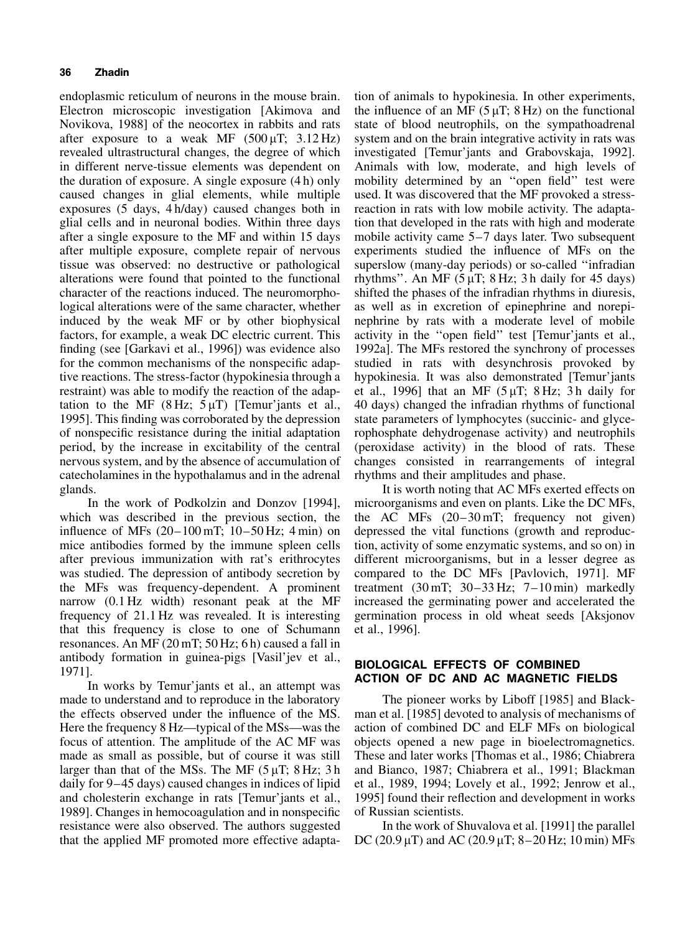endoplasmic reticulum of neurons in the mouse brain. Electron microscopic investigation [Akimova and Novikova, 1988] of the neocortex in rabbits and rats after exposure to a weak MF  $(500 \,\mu\text{T}; 3.12 \,\text{Hz})$ revealed ultrastructural changes, the degree of which in different nerve-tissue elements was dependent on the duration of exposure. A single exposure (4 h) only caused changes in glial elements, while multiple exposures (5 days, 4 h/day) caused changes both in glial cells and in neuronal bodies. Within three days after a single exposure to the MF and within 15 days after multiple exposure, complete repair of nervous tissue was observed: no destructive or pathological alterations were found that pointed to the functional character of the reactions induced. The neuromorphological alterations were of the same character, whether induced by the weak MF or by other biophysical factors, for example, a weak DC electric current. This finding (see [Garkavi et al., 1996]) was evidence also for the common mechanisms of the nonspecific adaptive reactions. The stress-factor (hypokinesia through a restraint) was able to modify the reaction of the adaptation to the MF  $(8 Hz; 5 \mu T)$  [Temur'jants et al., 1995]. This finding was corroborated by the depression of nonspecific resistance during the initial adaptation period, by the increase in excitability of the central nervous system, and by the absence of accumulation of catecholamines in the hypothalamus and in the adrenal glands.

In the work of Podkolzin and Donzov [1994], which was described in the previous section, the influence of MFs  $(20-100 \,\text{mT}; 10-50 \,\text{Hz}; 4 \,\text{min})$  on mice antibodies formed by the immune spleen cells after previous immunization with rat's erithrocytes was studied. The depression of antibody secretion by the MFs was frequency-dependent. A prominent narrow (0.1 Hz width) resonant peak at the MF frequency of 21.1 Hz was revealed. It is interesting that this frequency is close to one of Schumann resonances. An MF (20 mT; 50 Hz; 6 h) caused a fall in antibody formation in guinea-pigs [Vasil'jev et al., 1971].

In works by Temur'jants et al., an attempt was made to understand and to reproduce in the laboratory the effects observed under the influence of the MS. Here the frequency  $8$  Hz—typical of the MSs—was the focus of attention. The amplitude of the AC MF was made as small as possible, but of course it was still larger than that of the MSs. The MF  $(5 \mu T; 8 Hz; 3 h)$ daily for 9–45 days) caused changes in indices of lipid and cholesterin exchange in rats [Temur'jants et al., 1989]. Changes in hemocoagulation and in nonspecific resistance were also observed. The authors suggested that the applied MF promoted more effective adapta-

tion of animals to hypokinesia. In other experiments, the influence of an MF ( $5 \mu$ T;  $8$  Hz) on the functional state of blood neutrophils, on the sympathoadrenal system and on the brain integrative activity in rats was investigated [Temur'jants and Grabovskaja, 1992]. Animals with low, moderate, and high levels of mobility determined by an "open field" test were used. It was discovered that the MF provoked a stressreaction in rats with low mobile activity. The adaptation that developed in the rats with high and moderate mobile activity came  $5-7$  days later. Two subsequent experiments studied the influence of MFs on the superslow (many-day periods) or so-called "infradian rhythms". An MF  $(5 \mu T; 8 Hz; 3 h$  daily for 45 days) shifted the phases of the infradian rhythms in diuresis, as well as in excretion of epinephrine and norepinephrine by rats with a moderate level of mobile activity in the "open field" test [Temur'jants et al., 1992a]. The MFs restored the synchrony of processes studied in rats with desynchrosis provoked by hypokinesia. It was also demonstrated [Temur'jants et al., 1996] that an MF  $(5 \mu T; 8 Hz; 3 h$  daily for 40 days) changed the infradian rhythms of functional state parameters of lymphocytes (succinic- and glycerophosphate dehydrogenase activity) and neutrophils (peroxidase activity) in the blood of rats. These changes consisted in rearrangements of integral rhythms and their amplitudes and phase.

It is worth noting that AC MFs exerted effects on microorganisms and even on plants. Like the DC MFs, the AC MFs  $(20-30 \,\text{mT})$ ; frequency not given) depressed the vital functions (growth and reproduction, activity of some enzymatic systems, and so on) in different microorganisms, but in a lesser degree as compared to the DC MFs [Pavlovich, 1971]. MF treatment  $(30 \text{ mT}; 30-33 \text{ Hz}; 7-10 \text{ min})$  markedly increased the germinating power and accelerated the germination process in old wheat seeds [Aksjonov et al., 1996].

# BIOLOGICAL EFFECTS OF COMBINED ACTION OF DC AND AC MAGNETIC FIELDS

The pioneer works by Liboff [1985] and Blackman et al. [1985] devoted to analysis of mechanisms of action of combined DC and ELF MFs on biological objects opened a new page in bioelectromagnetics. These and later works [Thomas et al., 1986; Chiabrera and Bianco, 1987; Chiabrera et al., 1991; Blackman et al., 1989, 1994; Lovely et al., 1992; Jenrow et al., 1995] found their reflection and development in works of Russian scientists.

In the work of Shuvalova et al. [1991] the parallel DC (20.9  $\mu$ T) and AC (20.9  $\mu$ T; 8–20 Hz; 10 min) MFs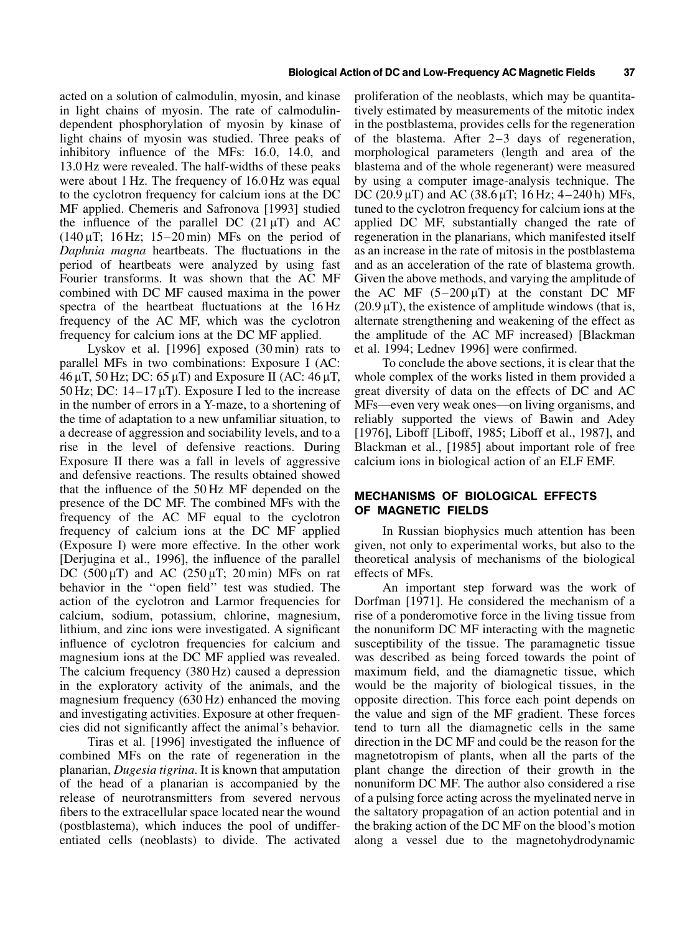acted on a solution of calmodulin, myosin, and kinase in light chains of myosin. The rate of calmodulindependent phosphorylation of myosin by kinase of light chains of myosin was studied. Three peaks of inhibitory influence of the MFs: 16.0, 14.0, and 13.0 Hz were revealed. The half-widths of these peaks were about 1 Hz. The frequency of 16.0 Hz was equal to the cyclotron frequency for calcium ions at the DC MF applied. Chemeris and Safronova [1993] studied the influence of the parallel DC  $(21 \mu T)$  and AC ( $140 \mu$ T;  $16 \text{ Hz}$ ;  $15-20 \text{ min}$ ) MFs on the period of Daphnia magna heartbeats. The fluctuations in the period of heartbeats were analyzed by using fast Fourier transforms. It was shown that the AC MF combined with DC MF caused maxima in the power spectra of the heartbeat fluctuations at the  $16 Hz$ frequency of the AC MF, which was the cyclotron frequency for calcium ions at the DC MF applied.

Lyskov et al. [1996] exposed (30 min) rats to parallel MFs in two combinations: Exposure I (AC:  $46 \mu$ T, 50 Hz; DC: 65  $\mu$ T) and Exposure II (AC:  $46 \mu$ T, 50 Hz; DC:  $14-17 \mu T$ ). Exposure I led to the increase in the number of errors in a Y-maze, to a shortening of the time of adaptation to a new unfamiliar situation, to a decrease of aggression and sociability levels, and to a rise in the level of defensive reactions. During Exposure II there was a fall in levels of aggressive and defensive reactions. The results obtained showed that the influence of the  $50$  Hz MF depended on the presence of the DC MF. The combined MFs with the frequency of the AC MF equal to the cyclotron frequency of calcium ions at the DC MF applied (Exposure I) were more effective. In the other work [Derjugina et al., 1996], the influence of the parallel DC (500 $\mu$ T) and AC (250 $\mu$ T; 20 min) MFs on rat behavior in the "open field" test was studied. The action of the cyclotron and Larmor frequencies for calcium, sodium, potassium, chlorine, magnesium, lithium, and zinc ions were investigated. A significant influence of cyclotron frequencies for calcium and magnesium ions at the DC MF applied was revealed. The calcium frequency (380 Hz) caused a depression in the exploratory activity of the animals, and the magnesium frequency (630 Hz) enhanced the moving and investigating activities. Exposure at other frequencies did not significantly affect the animal's behavior.

Tiras et al. [1996] investigated the influence of combined MFs on the rate of regeneration in the planarian, Dugesia tigrina. It is known that amputation of the head of a planarian is accompanied by the release of neurotransmitters from severed nervous fibers to the extracellular space located near the wound (postblastema), which induces the pool of undifferentiated cells (neoblasts) to divide. The activated

proliferation of the neoblasts, which may be quantitatively estimated by measurements of the mitotic index in the postblastema, provides cells for the regeneration of the blastema. After  $2-3$  days of regeneration, morphological parameters (length and area of the blastema and of the whole regenerant) were measured by using a computer image-analysis technique. The DC (20.9  $\mu$ T) and AC (38.6  $\mu$ T; 16 Hz; 4–240 h) MFs, tuned to the cyclotron frequency for calcium ions at the applied DC MF, substantially changed the rate of regeneration in the planarians, which manifested itself as an increase in the rate of mitosis in the postblastema and as an acceleration of the rate of blastema growth. Given the above methods, and varying the amplitude of the AC MF  $(5-200 \,\mu\text{T})$  at the constant DC MF  $(20.9 \,\mu\text{T})$ , the existence of amplitude windows (that is, alternate strengthening and weakening of the effect as the amplitude of the AC MF increased) [Blackman et al. 1994; Lednev 1996] were confirmed.

To conclude the above sections, it is clear that the whole complex of the works listed in them provided a great diversity of data on the effects of DC and AC MFs—even very weak ones—on living organisms, and reliably supported the views of Bawin and Adey [1976], Liboff [Liboff, 1985; Liboff et al., 1987], and Blackman et al., [1985] about important role of free calcium ions in biological action of an ELF EMF.

# MECHANISMS OF BIOLOGICAL EFFECTS OF MAGNETIC FIELDS

In Russian biophysics much attention has been given, not only to experimental works, but also to the theoretical analysis of mechanisms of the biological effects of MFs.

An important step forward was the work of Dorfman [1971]. He considered the mechanism of a rise of a ponderomotive force in the living tissue from the nonuniform DC MF interacting with the magnetic susceptibility of the tissue. The paramagnetic tissue was described as being forced towards the point of maximum field, and the diamagnetic tissue, which would be the majority of biological tissues, in the opposite direction. This force each point depends on the value and sign of the MF gradient. These forces tend to turn all the diamagnetic cells in the same direction in the DC MF and could be the reason for the magnetotropism of plants, when all the parts of the plant change the direction of their growth in the nonuniform DC MF. The author also considered a rise of a pulsing force acting across the myelinated nerve in the saltatory propagation of an action potential and in the braking action of the DC MF on the blood's motion along a vessel due to the magnetohydrodynamic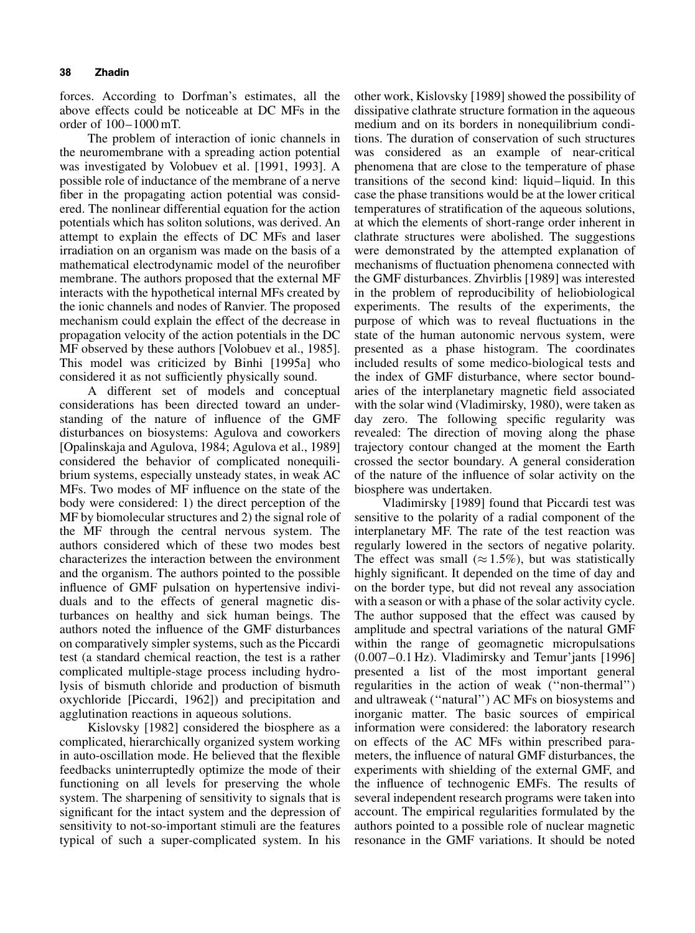forces. According to Dorfman's estimates, all the above effects could be noticeable at DC MFs in the order of  $100-1000$  mT.

The problem of interaction of ionic channels in the neuromembrane with a spreading action potential was investigated by Volobuev et al. [1991, 1993]. A possible role of inductance of the membrane of a nerve fiber in the propagating action potential was considered. The nonlinear differential equation for the action potentials which has soliton solutions, was derived. An attempt to explain the effects of DC MFs and laser irradiation on an organism was made on the basis of a mathematical electrodynamic model of the neurofiber membrane. The authors proposed that the external MF interacts with the hypothetical internal MFs created by the ionic channels and nodes of Ranvier. The proposed mechanism could explain the effect of the decrease in propagation velocity of the action potentials in the DC MF observed by these authors [Volobuev et al., 1985]. This model was criticized by Binhi [1995a] who considered it as not sufficiently physically sound.

A different set of models and conceptual considerations has been directed toward an understanding of the nature of influence of the GMF disturbances on biosystems: Agulova and coworkers [Opalinskaja and Agulova, 1984; Agulova et al., 1989] considered the behavior of complicated nonequilibrium systems, especially unsteady states, in weak AC MFs. Two modes of MF influence on the state of the body were considered: 1) the direct perception of the MF by biomolecular structures and 2) the signal role of the MF through the central nervous system. The authors considered which of these two modes best characterizes the interaction between the environment and the organism. The authors pointed to the possible influence of GMF pulsation on hypertensive individuals and to the effects of general magnetic disturbances on healthy and sick human beings. The authors noted the influence of the GMF disturbances on comparatively simpler systems, such as the Piccardi test (a standard chemical reaction, the test is a rather complicated multiple-stage process including hydrolysis of bismuth chloride and production of bismuth oxychloride [Piccardi, 1962]) and precipitation and agglutination reactions in aqueous solutions.

Kislovsky [1982] considered the biosphere as a complicated, hierarchically organized system working in auto-oscillation mode. He believed that the flexible feedbacks uninterruptedly optimize the mode of their functioning on all levels for preserving the whole system. The sharpening of sensitivity to signals that is significant for the intact system and the depression of sensitivity to not-so-important stimuli are the features typical of such a super-complicated system. In his

other work, Kislovsky [1989] showed the possibility of dissipative clathrate structure formation in the aqueous medium and on its borders in nonequilibrium conditions. The duration of conservation of such structures was considered as an example of near-critical phenomena that are close to the temperature of phase transitions of the second kind: liquid–liquid. In this case the phase transitions would be at the lower critical temperatures of stratification of the aqueous solutions, at which the elements of short-range order inherent in clathrate structures were abolished. The suggestions were demonstrated by the attempted explanation of mechanisms of fluctuation phenomena connected with the GMF disturbances. Zhvirblis [1989] was interested in the problem of reproducibility of heliobiological experiments. The results of the experiments, the purpose of which was to reveal fluctuations in the state of the human autonomic nervous system, were presented as a phase histogram. The coordinates included results of some medico-biological tests and the index of GMF disturbance, where sector boundaries of the interplanetary magnetic field associated with the solar wind (Vladimirsky, 1980), were taken as day zero. The following specific regularity was revealed: The direction of moving along the phase trajectory contour changed at the moment the Earth crossed the sector boundary. A general consideration of the nature of the influence of solar activity on the biosphere was undertaken.

Vladimirsky [1989] found that Piccardi test was sensitive to the polarity of a radial component of the interplanetary MF. The rate of the test reaction was regularly lowered in the sectors of negative polarity. The effect was small ( $\approx 1.5\%$ ), but was statistically highly significant. It depended on the time of day and on the border type, but did not reveal any association with a season or with a phase of the solar activity cycle. The author supposed that the effect was caused by amplitude and spectral variations of the natural GMF within the range of geomagnetic micropulsations  $(0.007-0.1 \text{ Hz})$ . Vladimirsky and Temur'jants [1996] presented a list of the most important general regularities in the action of weak ("non-thermal") and ultraweak ("natural") AC MFs on biosystems and inorganic matter. The basic sources of empirical information were considered: the laboratory research on effects of the AC MFs within prescribed parameters, the influence of natural GMF disturbances, the experiments with shielding of the external GMF, and the influence of technogenic EMFs. The results of several independent research programs were taken into account. The empirical regularities formulated by the authors pointed to a possible role of nuclear magnetic resonance in the GMF variations. It should be noted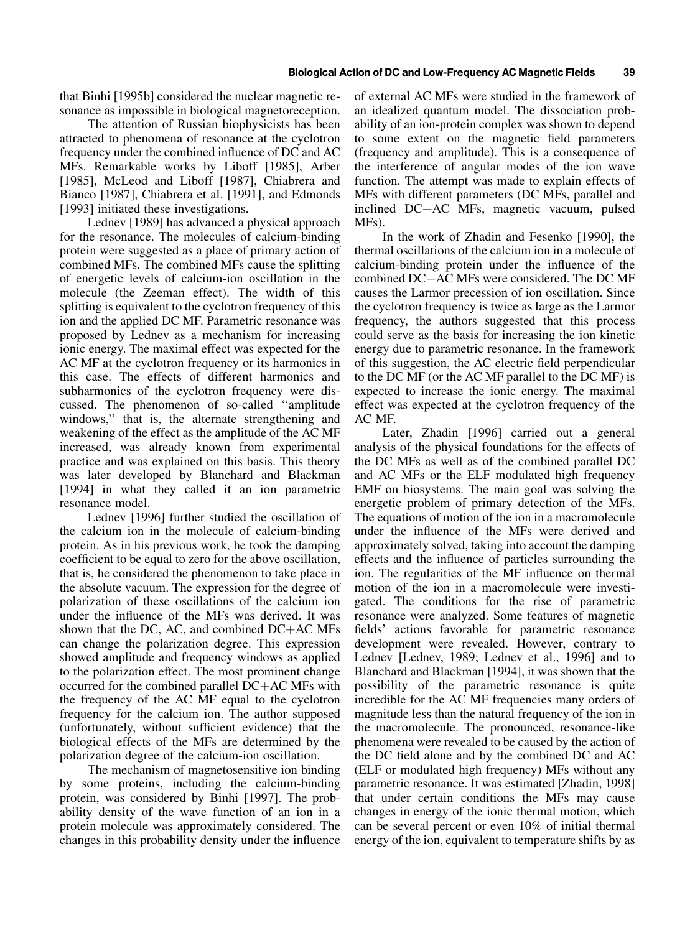that Binhi [1995b] considered the nuclear magnetic resonance as impossible in biological magnetoreception.

The attention of Russian biophysicists has been attracted to phenomena of resonance at the cyclotron frequency under the combined influence of DC and AC MFs. Remarkable works by Liboff [1985], Arber [1985], McLeod and Liboff [1987], Chiabrera and Bianco [1987], Chiabrera et al. [1991], and Edmonds [1993] initiated these investigations.

Lednev [1989] has advanced a physical approach for the resonance. The molecules of calcium-binding protein were suggested as a place of primary action of combined MFs. The combined MFs cause the splitting of energetic levels of calcium-ion oscillation in the molecule (the Zeeman effect). The width of this splitting is equivalent to the cyclotron frequency of this ion and the applied DC MF. Parametric resonance was proposed by Lednev as a mechanism for increasing ionic energy. The maximal effect was expected for the AC MF at the cyclotron frequency or its harmonics in this case. The effects of different harmonics and subharmonics of the cyclotron frequency were discussed. The phenomenon of so-called "amplitude windows,'' that is, the alternate strengthening and weakening of the effect as the amplitude of the AC MF increased, was already known from experimental practice and was explained on this basis. This theory was later developed by Blanchard and Blackman [1994] in what they called it an ion parametric resonance model.

Lednev [1996] further studied the oscillation of the calcium ion in the molecule of calcium-binding protein. As in his previous work, he took the damping coefficient to be equal to zero for the above oscillation, that is, he considered the phenomenon to take place in the absolute vacuum. The expression for the degree of polarization of these oscillations of the calcium ion under the influence of the MFs was derived. It was shown that the DC, AC, and combined  $DC+AC$  MFs can change the polarization degree. This expression showed amplitude and frequency windows as applied to the polarization effect. The most prominent change occurred for the combined parallel  $DC+AC$  MFs with the frequency of the AC MF equal to the cyclotron frequency for the calcium ion. The author supposed (unfortunately, without sufficient evidence) that the biological effects of the MFs are determined by the polarization degree of the calcium-ion oscillation.

The mechanism of magnetosensitive ion binding by some proteins, including the calcium-binding protein, was considered by Binhi [1997]. The probability density of the wave function of an ion in a protein molecule was approximately considered. The changes in this probability density under the influence of external AC MFs were studied in the framework of an idealized quantum model. The dissociation probability of an ion-protein complex was shown to depend to some extent on the magnetic field parameters (frequency and amplitude). This is a consequence of the interference of angular modes of the ion wave function. The attempt was made to explain effects of MFs with different parameters (DC MFs, parallel and inclined  $DC+AC$  MFs, magnetic vacuum, pulsed MFs).

In the work of Zhadin and Fesenko [1990], the thermal oscillations of the calcium ion in a molecule of calcium-binding protein under the influence of the combined  $DC+AC$  MFs were considered. The DC MF causes the Larmor precession of ion oscillation. Since the cyclotron frequency is twice as large as the Larmor frequency, the authors suggested that this process could serve as the basis for increasing the ion kinetic energy due to parametric resonance. In the framework of this suggestion, the AC electric field perpendicular to the DC MF (or the AC MF parallel to the DC MF) is expected to increase the ionic energy. The maximal effect was expected at the cyclotron frequency of the AC MF.

Later, Zhadin [1996] carried out a general analysis of the physical foundations for the effects of the DC MFs as well as of the combined parallel DC and AC MFs or the ELF modulated high frequency EMF on biosystems. The main goal was solving the energetic problem of primary detection of the MFs. The equations of motion of the ion in a macromolecule under the influence of the MFs were derived and approximately solved, taking into account the damping effects and the influence of particles surrounding the ion. The regularities of the MF influence on thermal motion of the ion in a macromolecule were investigated. The conditions for the rise of parametric resonance were analyzed. Some features of magnetic fields' actions favorable for parametric resonance development were revealed. However, contrary to Lednev [Lednev, 1989; Lednev et al., 1996] and to Blanchard and Blackman [1994], it was shown that the possibility of the parametric resonance is quite incredible for the AC MF frequencies many orders of magnitude less than the natural frequency of the ion in the macromolecule. The pronounced, resonance-like phenomena were revealed to be caused by the action of the DC field alone and by the combined DC and AC (ELF or modulated high frequency) MFs without any parametric resonance. It was estimated [Zhadin, 1998] that under certain conditions the MFs may cause changes in energy of the ionic thermal motion, which can be several percent or even 10% of initial thermal energy of the ion, equivalent to temperature shifts by as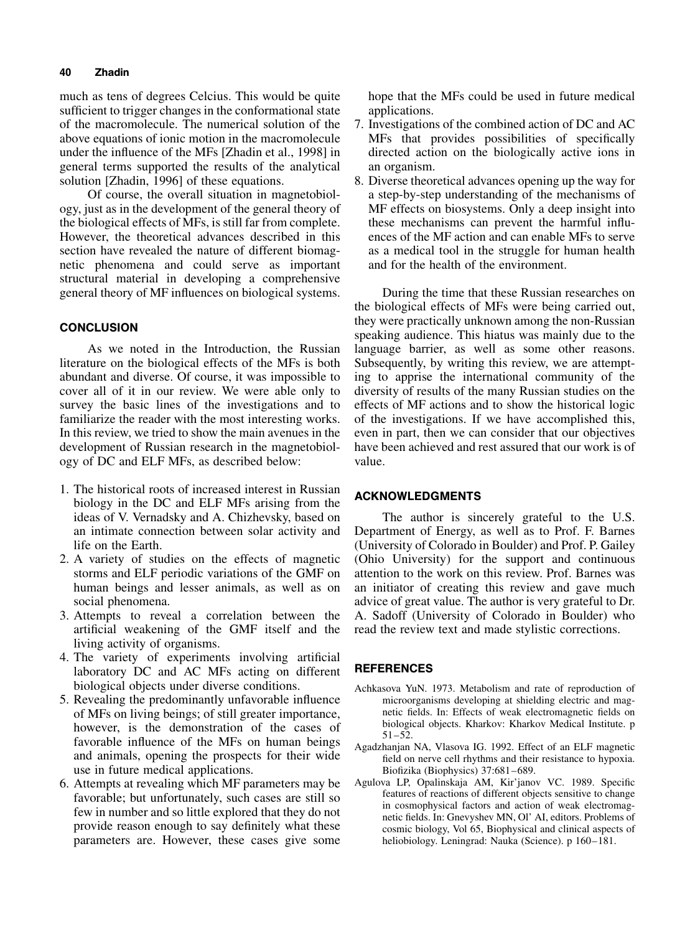### 40 Zhadin

much as tens of degrees Celcius. This would be quite sufficient to trigger changes in the conformational state of the macromolecule. The numerical solution of the above equations of ionic motion in the macromolecule under the influence of the MFs [Zhadin et al., 1998] in general terms supported the results of the analytical solution [Zhadin, 1996] of these equations.

Of course, the overall situation in magnetobiology, just as in the development of the general theory of the biological effects of MFs, is still far from complete. However, the theoretical advances described in this section have revealed the nature of different biomagnetic phenomena and could serve as important structural material in developing a comprehensive general theory of MF influences on biological systems.

# **CONCLUSION**

As we noted in the Introduction, the Russian literature on the biological effects of the MFs is both abundant and diverse. Of course, it was impossible to cover all of it in our review. We were able only to survey the basic lines of the investigations and to familiarize the reader with the most interesting works. In this review, we tried to show the main avenues in the development of Russian research in the magnetobiology of DC and ELF MFs, as described below:

- 1. The historical roots of increased interest in Russian biology in the DC and ELF MFs arising from the ideas of V. Vernadsky and A. Chizhevsky, based on an intimate connection between solar activity and life on the Earth.
- 2. A variety of studies on the effects of magnetic storms and ELF periodic variations of the GMF on human beings and lesser animals, as well as on social phenomena.
- 3. Attempts to reveal a correlation between the artificial weakening of the GMF itself and the living activity of organisms.
- 4. The variety of experiments involving artificial laboratory DC and AC MFs acting on different biological objects under diverse conditions.
- 5. Revealing the predominantly unfavorable influence of MFs on living beings; of still greater importance, however, is the demonstration of the cases of favorable influence of the MFs on human beings and animals, opening the prospects for their wide use in future medical applications.
- 6. Attempts at revealing which MF parameters may be favorable; but unfortunately, such cases are still so few in number and so little explored that they do not provide reason enough to say definitely what these parameters are. However, these cases give some

hope that the MFs could be used in future medical applications.

- 7. Investigations of the combined action of DC and AC MFs that provides possibilities of specifically directed action on the biologically active ions in an organism.
- 8. Diverse theoretical advances opening up the way for a step-by-step understanding of the mechanisms of MF effects on biosystems. Only a deep insight into these mechanisms can prevent the harmful influences of the MF action and can enable MFs to serve as a medical tool in the struggle for human health and for the health of the environment.

During the time that these Russian researches on the biological effects of MFs were being carried out, they were practically unknown among the non-Russian speaking audience. This hiatus was mainly due to the language barrier, as well as some other reasons. Subsequently, by writing this review, we are attempting to apprise the international community of the diversity of results of the many Russian studies on the effects of MF actions and to show the historical logic of the investigations. If we have accomplished this, even in part, then we can consider that our objectives have been achieved and rest assured that our work is of value.

## ACKNOWLEDGMENTS

The author is sincerely grateful to the U.S. Department of Energy, as well as to Prof. F. Barnes (University of Colorado in Boulder) and Prof. P. Gailey (Ohio University) for the support and continuous attention to the work on this review. Prof. Barnes was an initiator of creating this review and gave much advice of great value. The author is very grateful to Dr. A. Sadoff (University of Colorado in Boulder) who read the review text and made stylistic corrections.

# **REFERENCES**

- Achkasova YuN. 1973. Metabolism and rate of reproduction of microorganisms developing at shielding electric and magnetic fields. In: Effects of weak electromagnetic fields on biological objects. Kharkov: Kharkov Medical Institute. p  $51 - 52.$
- Agadzhanjan NA, Vlasova IG. 1992. Effect of an ELF magnetic field on nerve cell rhythms and their resistance to hypoxia. Biofizika (Biophysics) 37:681-689.
- Agulova LP, Opalinskaja AM, Kir'janov VC. 1989. Specific features of reactions of different objects sensitive to change in cosmophysical factors and action of weak electromagnetic fields. In: Gnevyshev MN, Ol' AI, editors. Problems of cosmic biology, Vol 65, Biophysical and clinical aspects of heliobiology. Leningrad: Nauka (Science). p 160-181.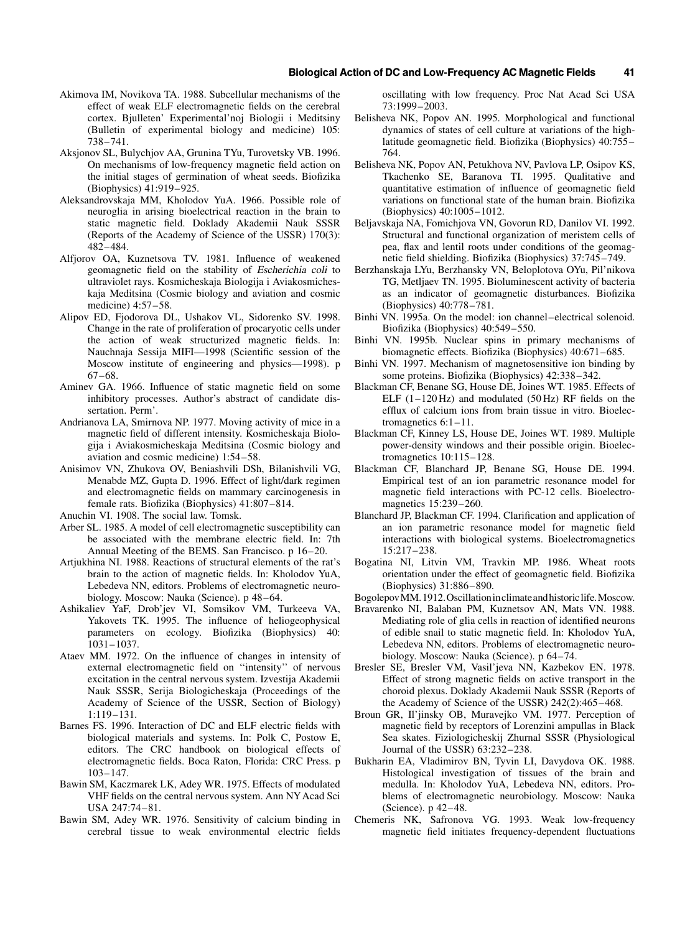- Akimova IM, Novikova TA. 1988. Subcellular mechanisms of the effect of weak ELF electromagnetic fields on the cerebral cortex. Bjulleten' Experimental'noj Biologii i Meditsiny (Bulletin of experimental biology and medicine) 105: 738±741.
- Aksjonov SL, Bulychjov AA, Grunina TYu, Turovetsky VB. 1996. On mechanisms of low-frequency magnetic field action on the initial stages of germination of wheat seeds. Biofizika (Biophysics) 41:919-925.
- Aleksandrovskaja MM, Kholodov YuA. 1966. Possible role of neuroglia in arising bioelectrical reaction in the brain to static magnetic field. Doklady Akademii Nauk SSSR (Reports of the Academy of Science of the USSR) 170(3): 482±484.
- Alfjorov OA, Kuznetsova TV. 1981. Influence of weakened geomagnetic field on the stability of Escherichia coli to ultraviolet rays. Kosmicheskaja Biologija i Aviakosmicheskaja Meditsina (Cosmic biology and aviation and cosmic medicine) 4:57-58.
- Alipov ED, Fjodorova DL, Ushakov VL, Sidorenko SV. 1998. Change in the rate of proliferation of procaryotic cells under the action of weak structurized magnetic fields. In: Nauchnaja Sessija MIFI-1998 (Scientific session of the Moscow institute of engineering and physics—1998). p  $67-68.$
- Aminev GA. 1966. Influence of static magnetic field on some inhibitory processes. Author's abstract of candidate dissertation. Perm'.
- Andrianova LA, Smirnova NP. 1977. Moving activity of mice in a magnetic field of different intensity. Kosmicheskaja Biologija i Aviakosmicheskaja Meditsina (Cosmic biology and aviation and cosmic medicine)  $1:54-58$ .
- Anisimov VN, Zhukova OV, Beniashvili DSh, Bilanishvili VG, Menabde MZ, Gupta D. 1996. Effect of light/dark regimen and electromagnetic fields on mammary carcinogenesis in female rats. Biofizika (Biophysics) 41:807-814.
- Anuchin VI. 1908. The social law. Tomsk.
- Arber SL. 1985. A model of cell electromagnetic susceptibility can be associated with the membrane electric field. In: 7th Annual Meeting of the BEMS. San Francisco. p 16-20.
- Artjukhina NI. 1988. Reactions of structural elements of the rat's brain to the action of magnetic fields. In: Kholodov YuA, Lebedeva NN, editors. Problems of electromagnetic neurobiology. Moscow: Nauka (Science). p 48-64.
- Ashikaliev YaF, Drob'jev VI, Somsikov VM, Turkeeva VA, Yakovets TK. 1995. The influence of heliogeophysical parameters on ecology. Biofizika (Biophysics) 40: 1031±1037.
- Ataev MM. 1972. On the influence of changes in intensity of external electromagnetic field on "intensity" of nervous excitation in the central nervous system. Izvestija Akademii Nauk SSSR, Serija Biologicheskaja (Proceedings of the Academy of Science of the USSR, Section of Biology) 1:119±131.
- Barnes FS. 1996. Interaction of DC and ELF electric fields with biological materials and systems. In: Polk C, Postow E, editors. The CRC handbook on biological effects of electromagnetic fields. Boca Raton, Florida: CRC Press. p  $103 - 147$ .
- Bawin SM, Kaczmarek LK, Adey WR. 1975. Effects of modulated VHF fields on the central nervous system. Ann NY Acad Sci USA 247:74-81.
- Bawin SM, Adey WR. 1976. Sensitivity of calcium binding in cerebral tissue to weak environmental electric fields

oscillating with low frequency. Proc Nat Acad Sci USA 73:1999±2003.

- Belisheva NK, Popov AN. 1995. Morphological and functional dynamics of states of cell culture at variations of the highlatitude geomagnetic field. Biofizika (Biophysics) 40:755 -764.
- Belisheva NK, Popov AN, Petukhova NV, Pavlova LP, Osipov KS, Tkachenko SE, Baranova TI. 1995. Qualitative and quantitative estimation of influence of geomagnetic field variations on functional state of the human brain. Biofizika (Biophysics) 40:1005-1012.
- Beljavskaja NA, Fomichjova VN, Govorun RD, Danilov VI. 1992. Structural and functional organization of meristem cells of pea, flax and lentil roots under conditions of the geomagnetic field shielding. Biofizika (Biophysics) 37:745-749.
- Berzhanskaja LYu, Berzhansky VN, Beloplotova OYu, Pil'nikova TG, Metljaev TN. 1995. Bioluminescent activity of bacteria as an indicator of geomagnetic disturbances. Biofizika (Biophysics) 40:778-781.
- Binhi VN. 1995a. On the model: ion channel-electrical solenoid. Biofizika (Biophysics) 40:549-550.
- Binhi VN. 1995b. Nuclear spins in primary mechanisms of biomagnetic effects. Biofizika (Biophysics) 40:671-685.
- Binhi VN. 1997. Mechanism of magnetosensitive ion binding by some proteins. Biofizika (Biophysics) 42:338-342.
- Blackman CF, Benane SG, House DE, Joines WT. 1985. Effects of ELF  $(1-120$  Hz) and modulated  $(50$  Hz) RF fields on the efflux of calcium ions from brain tissue in vitro. Bioelectromagnetics  $6:1-11$ .
- Blackman CF, Kinney LS, House DE, Joines WT. 1989. Multiple power-density windows and their possible origin. Bioelectromagnetics  $10:115-128$ .
- Blackman CF, Blanchard JP, Benane SG, House DE. 1994. Empirical test of an ion parametric resonance model for magnetic field interactions with PC-12 cells. Bioelectromagnetics 15:239-260.
- Blanchard JP, Blackman CF. 1994. Clarification and application of an ion parametric resonance model for magnetic field interactions with biological systems. Bioelectromagnetics 15:217±238.
- Bogatina NI, Litvin VM, Travkin MP. 1986. Wheat roots orientation under the effect of geomagnetic field. Biofizika (Biophysics) 31:886-890.
- BogolepovMM.1912.Oscillationinclimateandhistoriclife.Moscow.
- Bravarenko NI, Balaban PM, Kuznetsov AN, Mats VN. 1988. Mediating role of glia cells in reaction of identified neurons of edible snail to static magnetic field. In: Kholodov YuA, Lebedeva NN, editors. Problems of electromagnetic neurobiology. Moscow: Nauka (Science). p 64-74.
- Bresler SE, Bresler VM, Vasil'jeva NN, Kazbekov EN. 1978. Effect of strong magnetic fields on active transport in the choroid plexus. Doklady Akademii Nauk SSSR (Reports of the Academy of Science of the USSR)  $242(2):465-468$ .
- Broun GR, Il'jinsky OB, Muravejko VM. 1977. Perception of magnetic field by receptors of Lorenzini ampullas in Black Sea skates. Fiziologicheskij Zhurnal SSSR (Physiological Journal of the USSR)  $63:232-238$ .
- Bukharin EA, Vladimirov BN, Tyvin LI, Davydova OK. 1988. Histological investigation of tissues of the brain and medulla. In: Kholodov YuA, Lebedeva NN, editors. Problems of electromagnetic neurobiology. Moscow: Nauka (Science).  $p$  42 $-48$ .
- Chemeris NK, Safronova VG. 1993. Weak low-frequency magnetic field initiates frequency-dependent fluctuations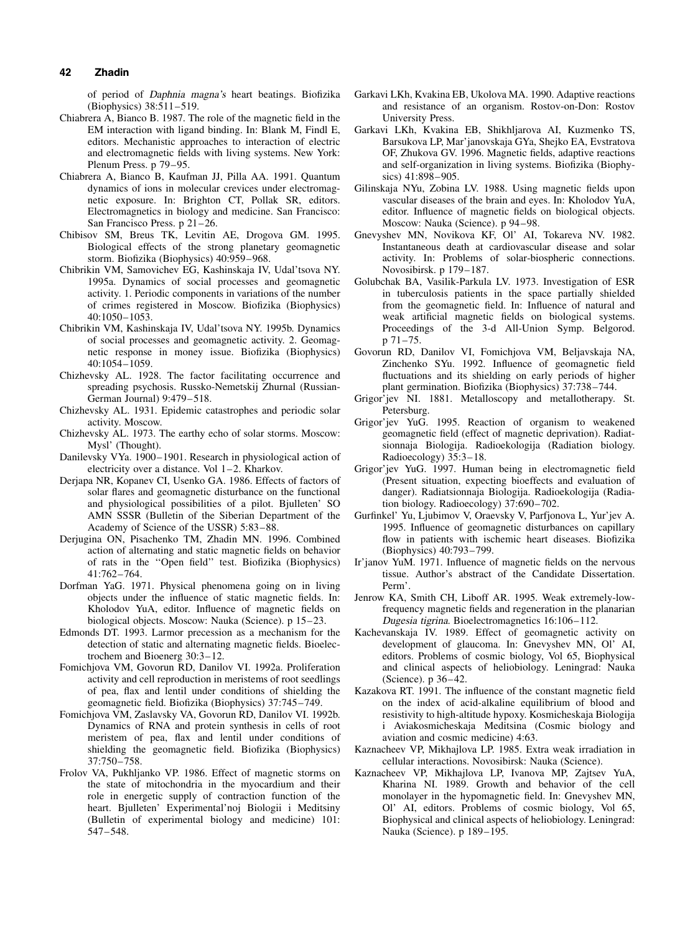#### 42 Zhadin

of period of Daphnia magna's heart beatings. Biofizika (Biophysics) 38:511-519.

- Chiabrera A, Bianco B. 1987. The role of the magnetic field in the EM interaction with ligand binding. In: Blank M, Findl E, editors. Mechanistic approaches to interaction of electric and electromagnetic fields with living systems. New York: Plenum Press. p 79-95.
- Chiabrera A, Bianco B, Kaufman JJ, Pilla AA. 1991. Quantum dynamics of ions in molecular crevices under electromagnetic exposure. In: Brighton CT, Pollak SR, editors. Electromagnetics in biology and medicine. San Francisco: San Francisco Press. p  $21-26$ .
- Chibisov SM, Breus TK, Levitin AE, Drogova GM. 1995. Biological effects of the strong planetary geomagnetic storm. Biofizika (Biophysics) 40:959-968.
- Chibrikin VM, Samovichev EG, Kashinskaja IV, Udal'tsova NY. 1995a. Dynamics of social processes and geomagnetic activity. 1. Periodic components in variations of the number of crimes registered in Moscow. Biofizika (Biophysics) 40:1050±1053.
- Chibrikin VM, Kashinskaja IV, Udal'tsova NY. 1995b. Dynamics of social processes and geomagnetic activity. 2. Geomagnetic response in money issue. Biofizika (Biophysics) 40:1054±1059.
- Chizhevsky AL. 1928. The factor facilitating occurrence and spreading psychosis. Russko-Nemetskij Zhurnal (Russian-German Journal) 9:479-518.
- Chizhevsky AL. 1931. Epidemic catastrophes and periodic solar activity. Moscow.
- Chizhevsky AL. 1973. The earthy echo of solar storms. Moscow: Mysl' (Thought).
- Danilevsky VYa. 1900–1901. Research in physiological action of electricity over a distance. Vol  $1-2$ . Kharkov.
- Derjapa NR, Kopanev CI, Usenko GA. 1986. Effects of factors of solar flares and geomagnetic disturbance on the functional and physiological possibilities of a pilot. Bjulleten' SO AMN SSSR (Bulletin of the Siberian Department of the Academy of Science of the USSR) 5:83-88.
- Derjugina ON, Pisachenko TM, Zhadin MN. 1996. Combined action of alternating and static magnetic fields on behavior of rats in the "Open field" test. Biofizika (Biophysics) 41:762±764.
- Dorfman YaG. 1971. Physical phenomena going on in living objects under the influence of static magnetic fields. In: Kholodov YuA, editor. Influence of magnetic fields on biological objects. Moscow: Nauka (Science). p 15-23.
- Edmonds DT. 1993. Larmor precession as a mechanism for the detection of static and alternating magnetic fields. Bioelectrochem and Bioenerg  $30:3-12$ .
- Fomichjova VM, Govorun RD, Danilov VI. 1992a. Proliferation activity and cell reproduction in meristems of root seedlings of pea, flax and lentil under conditions of shielding the geomagnetic field. Biofizika (Biophysics) 37:745-749.
- Fomichjova VM, Zaslavsky VA, Govorun RD, Danilov VI. 1992b. Dynamics of RNA and protein synthesis in cells of root meristem of pea, flax and lentil under conditions of shielding the geomagnetic field. Biofizika (Biophysics) 37:750±758.
- Frolov VA, Pukhljanko VP. 1986. Effect of magnetic storms on the state of mitochondria in the myocardium and their role in energetic supply of contraction function of the heart. Bjulleten' Experimental'noj Biologii i Meditsiny (Bulletin of experimental biology and medicine) 101: 547±548.
- Garkavi LKh, Kvakina EB, Ukolova MA. 1990. Adaptive reactions and resistance of an organism. Rostov-on-Don: Rostov University Press.
- Garkavi LKh, Kvakina EB, Shikhljarova AI, Kuzmenko TS, Barsukova LP, Mar'janovskaja GYa, Shejko EA, Evstratova OF, Zhukova GV. 1996. Magnetic fields, adaptive reactions and self-organization in living systems. Biofizika (Biophysics) 41:898-905.
- Gilinskaja NYu, Zobina LV. 1988. Using magnetic fields upon vascular diseases of the brain and eyes. In: Kholodov YuA, editor. Influence of magnetic fields on biological objects. Moscow: Nauka (Science). p 94-98.
- Gnevyshev MN, Novikova KF, Ol' AI, Tokareva NV. 1982. Instantaneous death at cardiovascular disease and solar activity. In: Problems of solar-biospheric connections. Novosibirsk. p 179-187.
- Golubchak BA, Vasilik-Parkula LV. 1973. Investigation of ESR in tuberculosis patients in the space partially shielded from the geomagnetic field. In: Influence of natural and weak artificial magnetic fields on biological systems. Proceedings of the 3-d All-Union Symp. Belgorod. p 71-75.
- Govorun RD, Danilov VI, Fomichjova VM, Beljavskaja NA, Zinchenko SYu. 1992. Influence of geomagnetic field fluctuations and its shielding on early periods of higher plant germination. Biofizika (Biophysics) 37:738-744.
- Grigor'jev NI. 1881. Metalloscopy and metallotherapy. St. Petersburg.
- Grigor'jev YuG. 1995. Reaction of organism to weakened geomagnetic field (effect of magnetic deprivation). Radiatsionnaja Biologija. Radioekologija (Radiation biology. Radioecology)  $35:3-18$ .
- Grigor'jev YuG. 1997. Human being in electromagnetic field (Present situation, expecting bioeffects and evaluation of danger). Radiatsionnaja Biologija. Radioekologija (Radiation biology. Radioecology) 37:690-702.
- Gurfinkel' Yu, Ljubimov V, Oraevsky V, Parfjonova L, Yur'jev A. 1995. Influence of geomagnetic disturbances on capillary flow in patients with ischemic heart diseases. Biofizika (Biophysics) 40:793-799.
- Ir'janov YuM. 1971. Influence of magnetic fields on the nervous tissue. Author's abstract of the Candidate Dissertation. Perm'.
- Jenrow KA, Smith CH, Liboff AR. 1995. Weak extremely-lowfrequency magnetic fields and regeneration in the planarian Dugesia tigrina. Bioelectromagnetics 16:106-112.
- Kachevanskaja IV. 1989. Effect of geomagnetic activity on development of glaucoma. In: Gnevyshev MN, Ol' AI, editors. Problems of cosmic biology, Vol 65, Biophysical and clinical aspects of heliobiology. Leningrad: Nauka (Science). p 36-42.
- Kazakova RT. 1991. The influence of the constant magnetic field on the index of acid-alkaline equilibrium of blood and resistivity to high-altitude hypoxy. Kosmicheskaja Biologija i Aviakosmicheskaja Meditsina (Cosmic biology and aviation and cosmic medicine) 4:63.
- Kaznacheev VP, Mikhajlova LP. 1985. Extra weak irradiation in cellular interactions. Novosibirsk: Nauka (Science).
- Kaznacheev VP, Mikhajlova LP, Ivanova MP, Zajtsev YuA, Kharina NI. 1989. Growth and behavior of the cell monolayer in the hypomagnetic field. In: Gnevyshev MN, Ol' AI, editors. Problems of cosmic biology, Vol 65, Biophysical and clinical aspects of heliobiology. Leningrad: Nauka (Science). p 189-195.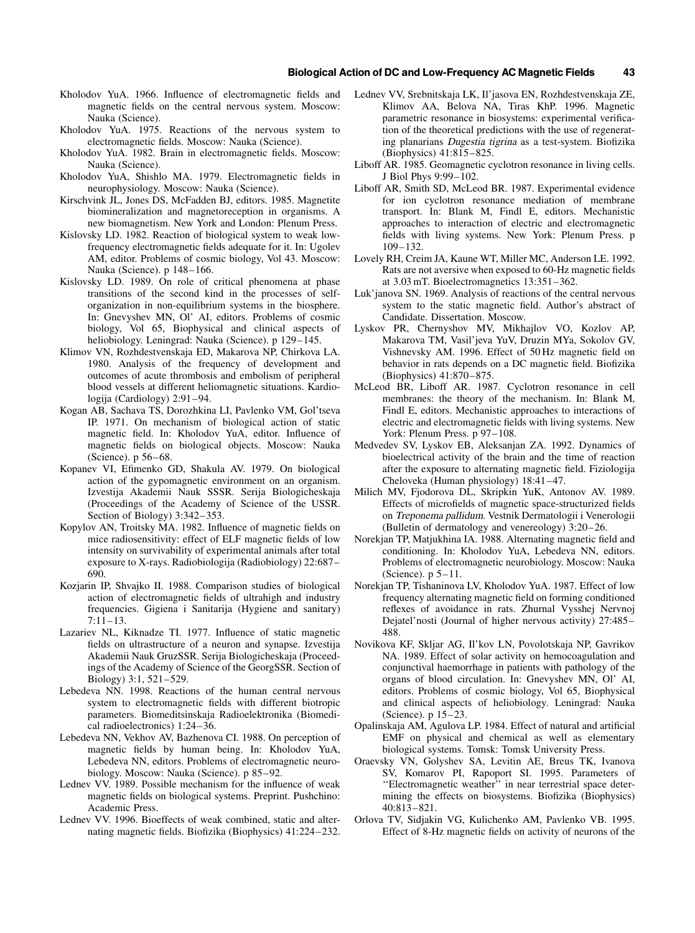#### Biological Action of DC and Low-Frequency AC Magnetic Fields 43

- Kholodov YuA. 1966. Influence of electromagnetic fields and magnetic fields on the central nervous system. Moscow: Nauka (Science).
- Kholodov YuA. 1975. Reactions of the nervous system to electromagnetic fields. Moscow: Nauka (Science).
- Kholodov YuA. 1982. Brain in electromagnetic fields. Moscow: Nauka (Science).
- Kholodov YuA, Shishlo MA. 1979. Electromagnetic fields in neurophysiology. Moscow: Nauka (Science).
- Kirschvink JL, Jones DS, McFadden BJ, editors. 1985. Magnetite biomineralization and magnetoreception in organisms. A new biomagnetism. New York and London: Plenum Press.
- Kislovsky LD. 1982. Reaction of biological system to weak lowfrequency electromagnetic fields adequate for it. In: Ugolev AM, editor. Problems of cosmic biology, Vol 43. Moscow: Nauka (Science). p 148-166.
- Kislovsky LD. 1989. On role of critical phenomena at phase transitions of the second kind in the processes of selforganization in non-equilibrium systems in the biosphere. In: Gnevyshev MN, Ol' AI, editors. Problems of cosmic biology, Vol 65, Biophysical and clinical aspects of heliobiology. Leningrad: Nauka (Science). p 129-145.
- Klimov VN, Rozhdestvenskaja ED, Makarova NP, Chirkova LA. 1980. Analysis of the frequency of development and outcomes of acute thrombosis and embolism of peripheral blood vessels at different heliomagnetic situations. Kardiologija (Cardiology) 2:91-94.
- Kogan AB, Sachava TS, Dorozhkina LI, Pavlenko VM, Gol'tseva IP. 1971. On mechanism of biological action of static magnetic field. In: Kholodov YuA, editor. Influence of magnetic fields on biological objects. Moscow: Nauka (Science).  $p 56-68$ .
- Kopanev VI, Efimenko GD, Shakula AV. 1979. On biological action of the gypomagnetic environment on an organism. Izvestija Akademii Nauk SSSR. Serija Biologicheskaja (Proceedings of the Academy of Science of the USSR. Section of Biology)  $3:342-353$ .
- Kopylov AN, Troitsky MA. 1982. Influence of magnetic fields on mice radiosensitivity: effect of ELF magnetic fields of low intensity on survivability of experimental animals after total exposure to X-rays. Radiobiologija (Radiobiology) 22:687± 690.
- Kozjarin IP, Shvajko II. 1988. Comparison studies of biological action of electromagnetic fields of ultrahigh and industry frequencies. Gigiena i Sanitarija (Hygiene and sanitary)  $7:11-13.$
- Lazariev NL, Kiknadze TI. 1977. Influence of static magnetic fields on ultrastructure of a neuron and synapse. Izvestija Akademii Nauk GruzSSR. Serija Biologicheskaja (Proceedings of the Academy of Science of the GeorgSSR. Section of Biology) 3:1, 521-529.
- Lebedeva NN. 1998. Reactions of the human central nervous system to electromagnetic fields with different biotropic parameters. Biomeditsinskaja Radioelektronika (Biomedical radioelectronics) 1:24-36.
- Lebedeva NN, Vekhov AV, Bazhenova CI. 1988. On perception of magnetic fields by human being. In: Kholodov YuA, Lebedeva NN, editors. Problems of electromagnetic neurobiology. Moscow: Nauka (Science). p 85–92.
- Lednev VV. 1989. Possible mechanism for the influence of weak magnetic fields on biological systems. Preprint. Pushchino: Academic Press.
- Lednev VV. 1996. Bioeffects of weak combined, static and alternating magnetic fields. Biofizika (Biophysics) 41:224-232.
- Lednev VV, Srebnitskaja LK, Il'jasova EN, Rozhdestvenskaja ZE, Klimov AA, Belova NA, Tiras KhP. 1996. Magnetic parametric resonance in biosystems: experimental verification of the theoretical predictions with the use of regenerating planarians Dugestia tigrina as a test-system. Biofizika (Biophysics) 41:815-825.
- Liboff AR. 1985. Geomagnetic cyclotron resonance in living cells. J Biol Phys 9:99-102.
- Liboff AR, Smith SD, McLeod BR. 1987. Experimental evidence for ion cyclotron resonance mediation of membrane transport. In: Blank M, Findl E, editors. Mechanistic approaches to interaction of electric and electromagnetic fields with living systems. New York: Plenum Press. p  $109 - 132$
- Lovely RH, Creim JA, Kaune WT, Miller MC, Anderson LE. 1992. Rats are not aversive when exposed to 60-Hz magnetic fields at  $3.03$  mT. Bioelectromagnetics  $13:351-362$ .
- Luk'janova SN. 1969. Analysis of reactions of the central nervous system to the static magnetic field. Author's abstract of Candidate. Dissertation. Moscow.
- Lyskov PR, Chernyshov MV, Mikhajlov VO, Kozlov AP, Makarova TM, Vasil'jeva YuV, Druzin MYa, Sokolov GV, Vishnevsky AM. 1996. Effect of 50 Hz magnetic field on behavior in rats depends on a DC magnetic field. Biofizika (Biophysics) 41:870-875.
- McLeod BR, Liboff AR. 1987. Cyclotron resonance in cell membranes: the theory of the mechanism. In: Blank M, Findl E, editors. Mechanistic approaches to interactions of electric and electromagnetic fields with living systems. New York: Plenum Press.  $p$  97 $-108$ .
- Medvedev SV, Lyskov EB, Aleksanjan ZA. 1992. Dynamics of bioelectrical activity of the brain and the time of reaction after the exposure to alternating magnetic field. Fiziologija Cheloveka (Human physiology) 18:41-47.
- Milich MV, Fjodorova DL, Skripkin YuK, Antonov AV. 1989. Effects of microfields of magnetic space-structurized fields on Treponema pallidum. Vestnik Dermatologii i Venerologii (Bulletin of dermatology and venereology)  $3:20-26$ .
- Norekjan TP, Matjukhina IA. 1988. Alternating magnetic field and conditioning. In: Kholodov YuA, Lebedeva NN, editors. Problems of electromagnetic neurobiology. Moscow: Nauka (Science).  $p 5-11$ .
- Norekjan TP, Tishaninova LV, Kholodov YuA. 1987. Effect of low frequency alternating magnetic field on forming conditioned reflexes of avoidance in rats. Zhurnal Vysshej Nervnoj Dejatel'nosti (Journal of higher nervous activity) 27:485-488.
- Novikova KF, Skljar AG, Il'kov LN, Povolotskaja NP, Gavrikov NA. 1989. Effect of solar activity on hemocoagulation and conjunctival haemorrhage in patients with pathology of the organs of blood circulation. In: Gnevyshev MN, Ol' AI, editors. Problems of cosmic biology, Vol 65, Biophysical and clinical aspects of heliobiology. Leningrad: Nauka (Science).  $p 15-23$ .
- Opalinskaja AM, Agulova LP. 1984. Effect of natural and artificial EMF on physical and chemical as well as elementary biological systems. Tomsk: Tomsk University Press.
- Oraevsky VN, Golyshev SA, Levitin AE, Breus TK, Ivanova SV, Komarov PI, Rapoport SI. 1995. Parameters of ``Electromagnetic weather'' in near terrestrial space determining the effects on biosystems. Biofizika (Biophysics) 40:813±821.
- Orlova TV, Sidjakin VG, Kulichenko AM, Pavlenko VB. 1995. Effect of 8-Hz magnetic fields on activity of neurons of the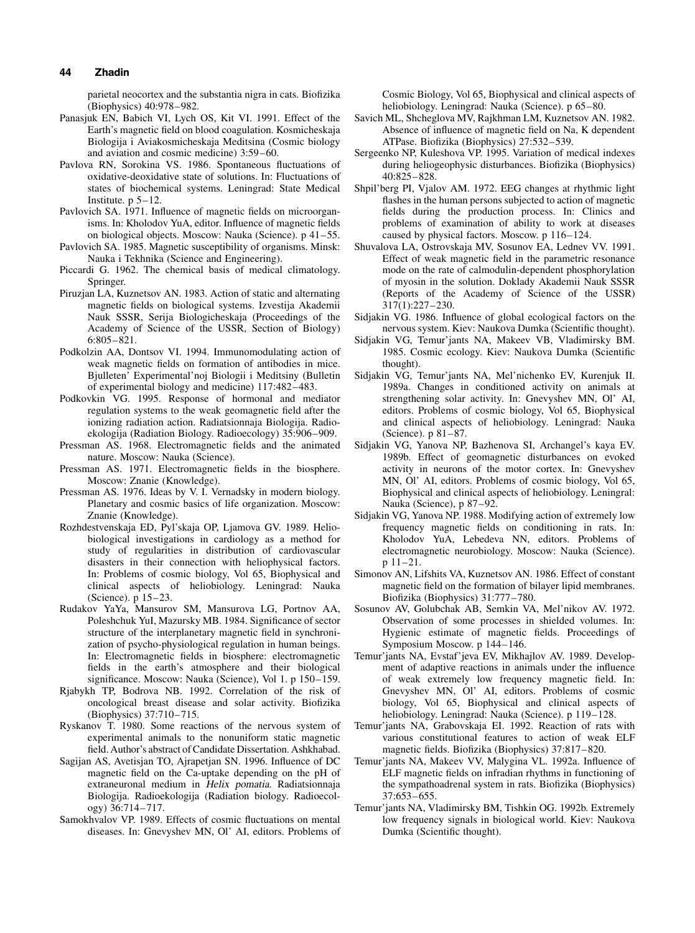#### 44 Zhadin

parietal neocortex and the substantia nigra in cats. Biofizika (Biophysics) 40:978-982.

- Panasjuk EN, Babich VI, Lych OS, Kit VI. 1991. Effect of the Earth's magnetic field on blood coagulation. Kosmicheskaja Biologija i Aviakosmicheskaja Meditsina (Cosmic biology and aviation and cosmic medicine)  $3:59-60$ .
- Pavlova RN, Sorokina VS. 1986. Spontaneous fluctuations of oxidative-deoxidative state of solutions. In: Fluctuations of states of biochemical systems. Leningrad: State Medical Institute.  $p 5-12$ .
- Pavlovich SA. 1971. Influence of magnetic fields on microorganisms. In: Kholodov YuA, editor. Influence of magnetic fields on biological objects. Moscow: Nauka (Science).  $p$  41–55.
- Pavlovich SA. 1985. Magnetic susceptibility of organisms. Minsk: Nauka i Tekhnika (Science and Engineering).
- Piccardi G. 1962. The chemical basis of medical climatology. Springer.
- Piruzjan LA, Kuznetsov AN. 1983. Action of static and alternating magnetic fields on biological systems. Izvestija Akademii Nauk SSSR, Serija Biologicheskaja (Proceedings of the Academy of Science of the USSR, Section of Biology) 6:805±821.
- Podkolzin AA, Dontsov VI. 1994. Immunomodulating action of weak magnetic fields on formation of antibodies in mice. Bjulleten' Experimental'noj Biologii i Meditsiny (Bulletin of experimental biology and medicine) 117:482-483.
- Podkovkin VG. 1995. Response of hormonal and mediator regulation systems to the weak geomagnetic field after the ionizing radiation action. Radiatsionnaja Biologija. Radioekologija (Radiation Biology. Radioecology) 35:906-909.
- Pressman AS. 1968. Electromagnetic fields and the animated nature. Moscow: Nauka (Science).
- Pressman AS. 1971. Electromagnetic fields in the biosphere. Moscow: Znanie (Knowledge).
- Pressman AS. 1976. Ideas by V. I. Vernadsky in modern biology. Planetary and cosmic basics of life organization. Moscow: Znanie (Knowledge).
- Rozhdestvenskaja ED, Pyl'skaja OP, Ljamova GV. 1989. Heliobiological investigations in cardiology as a method for study of regularities in distribution of cardiovascular disasters in their connection with heliophysical factors. In: Problems of cosmic biology, Vol 65, Biophysical and clinical aspects of heliobiology. Leningrad: Nauka (Science). p 15-23.
- Rudakov YaYa, Mansurov SM, Mansurova LG, Portnov AA, Poleshchuk YuI, Mazursky MB. 1984. Significance of sector structure of the interplanetary magnetic field in synchronization of psycho-physiological regulation in human beings. In: Electromagnetic fields in biosphere: electromagnetic fields in the earth's atmosphere and their biological significance. Moscow: Nauka (Science), Vol 1. p 150-159.
- Rjabykh TP, Bodrova NB. 1992. Correlation of the risk of oncological breast disease and solar activity. Biofizika (Biophysics) 37:710-715.
- Ryskanov T. 1980. Some reactions of the nervous system of experimental animals to the nonuniform static magnetic field. Author's abstract of Candidate Dissertation. Ashkhabad.
- Sagijan AS, Avetisjan TO, Ajrapetjan SN. 1996. Influence of DC magnetic field on the Ca-uptake depending on the pH of extraneuronal medium in Helix pomatia. Radiatsionnaja Biologija. Radioekologija (Radiation biology. Radioecology) 36:714-717.
- Samokhvalov VP. 1989. Effects of cosmic fluctuations on mental diseases. In: Gnevyshev MN, Ol' AI, editors. Problems of

Cosmic Biology, Vol 65, Biophysical and clinical aspects of heliobiology. Leningrad: Nauka (Science). p 65-80.

- Savich ML, Shcheglova MV, Rajkhman LM, Kuznetsov AN. 1982. Absence of influence of magnetic field on Na, K dependent ATPase. Biofizika (Biophysics) 27:532–539.
- Sergeenko NP, Kuleshova VP. 1995. Variation of medical indexes during heliogeophysic disturbances. Biofizika (Biophysics) 40:825±828.
- Shpil'berg PI, Vjalov AM. 1972. EEG changes at rhythmic light flashes in the human persons subjected to action of magnetic fields during the production process. In: Clinics and problems of examination of ability to work at diseases caused by physical factors. Moscow. p 116-124.
- Shuvalova LA, Ostrovskaja MV, Sosunov EA, Lednev VV. 1991. Effect of weak magnetic field in the parametric resonance mode on the rate of calmodulin-dependent phosphorylation of myosin in the solution. Doklady Akademii Nauk SSSR (Reports of the Academy of Science of the USSR)  $317(1):227-230.$
- Sidjakin VG. 1986. Influence of global ecological factors on the nervous system. Kiev: Naukova Dumka (Scientific thought).
- Sidjakin VG, Temur'jants NA, Makeev VB, Vladimirsky BM. 1985. Cosmic ecology. Kiev: Naukova Dumka (Scientific thought).
- Sidjakin VG, Temur'jants NA, Mel'nichenko EV, Kurenjuk II. 1989a. Changes in conditioned activity on animals at strengthening solar activity. In: Gnevyshev MN, Ol' AI, editors. Problems of cosmic biology, Vol 65, Biophysical and clinical aspects of heliobiology. Leningrad: Nauka (Science).  $p 81-87$ .
- Sidjakin VG, Yanova NP, Bazhenova SI, Archangel's kaya EV. 1989b. Effect of geomagnetic disturbances on evoked activity in neurons of the motor cortex. In: Gnevyshev MN, Ol' AI, editors. Problems of cosmic biology, Vol 65, Biophysical and clinical aspects of heliobiology. Leningral: Nauka (Science), p 87-92.
- Sidjakin VG, Yanova NP. 1988. Modifying action of extremely low frequency magnetic fields on conditioning in rats. In: Kholodov YuA, Lebedeva NN, editors. Problems of electromagnetic neurobiology. Moscow: Nauka (Science).  $p 11-21.$
- Simonov AN, Lifshits VA, Kuznetsov AN. 1986. Effect of constant magnetic field on the formation of bilayer lipid membranes. Biofizika (Biophysics) 31:777-780.
- Sosunov AV, Golubchak AB, Semkin VA, Mel'nikov AV. 1972. Observation of some processes in shielded volumes. In: Hygienic estimate of magnetic fields. Proceedings of Symposium Moscow. p 144-146.
- Temur'jants NA, Evstaf'jeva EV, Mikhajlov AV. 1989. Development of adaptive reactions in animals under the influence of weak extremely low frequency magnetic field. In: Gnevyshev MN, Ol' AI, editors. Problems of cosmic biology, Vol 65, Biophysical and clinical aspects of heliobiology. Leningrad: Nauka (Science). p 119-128.
- Temur'jants NA, Grabovskaja EI. 1992. Reaction of rats with various constitutional features to action of weak ELF magnetic fields. Biofizika (Biophysics) 37:817–820.
- Temur'jants NA, Makeev VV, Malygina VL. 1992a. Influence of ELF magnetic fields on infradian rhythms in functioning of the sympathoadrenal system in rats. Biofizika (Biophysics) 37:653±655.
- Temur'jants NA, Vladimirsky BM, Tishkin OG. 1992b. Extremely low frequency signals in biological world. Kiev: Naukova Dumka (Scientific thought).